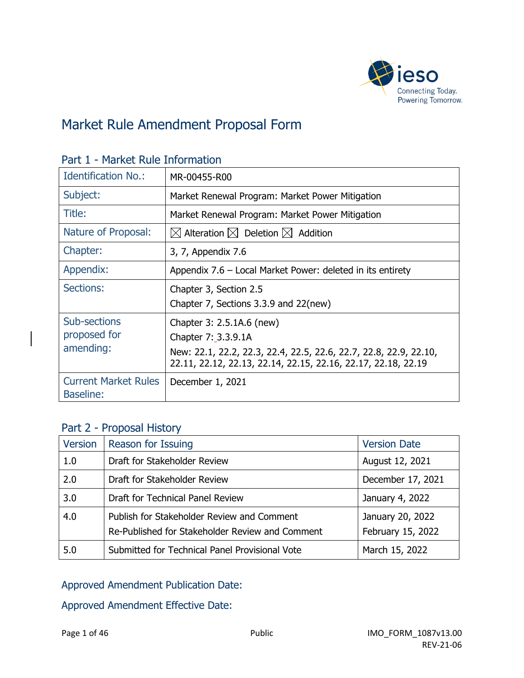

### Market Rule Amendment Proposal Form

| <b>Identification No.:</b>                      | MR-00455-R00                                                                                                                       |
|-------------------------------------------------|------------------------------------------------------------------------------------------------------------------------------------|
| Subject:                                        | Market Renewal Program: Market Power Mitigation                                                                                    |
| Title:                                          | Market Renewal Program: Market Power Mitigation                                                                                    |
| Nature of Proposal:                             | $\boxtimes$ Alteration $\boxtimes$ Deletion $\boxtimes$ Addition                                                                   |
| Chapter:                                        | 3, 7, Appendix 7.6                                                                                                                 |
| Appendix:                                       | Appendix 7.6 – Local Market Power: deleted in its entirety                                                                         |
| Sections:                                       | Chapter 3, Section 2.5                                                                                                             |
|                                                 | Chapter 7, Sections 3.3.9 and 22(new)                                                                                              |
| Sub-sections                                    | Chapter 3: 2.5.1A.6 (new)                                                                                                          |
| proposed for                                    | Chapter 7: 3.3.9.1A                                                                                                                |
| amending:                                       | New: 22.1, 22.2, 22.3, 22.4, 22.5, 22.6, 22.7, 22.8, 22.9, 22.10,<br>22.11, 22.12, 22.13, 22.14, 22.15, 22.16, 22.17, 22.18, 22.19 |
| <b>Current Market Rules</b><br><b>Baseline:</b> | December 1, 2021                                                                                                                   |

### Part 1 - Market Rule Information

### Part 2 - Proposal History

| <b>Version</b> | Reason for Issuing                                                                            | <b>Version Date</b>                   |
|----------------|-----------------------------------------------------------------------------------------------|---------------------------------------|
| 1.0            | Draft for Stakeholder Review                                                                  | August 12, 2021                       |
| 2.0            | Draft for Stakeholder Review                                                                  | December 17, 2021                     |
| 3.0            | Draft for Technical Panel Review                                                              | January 4, 2022                       |
| 4.0            | Publish for Stakeholder Review and Comment<br>Re-Published for Stakeholder Review and Comment | January 20, 2022<br>February 15, 2022 |
| 5.0            | Submitted for Technical Panel Provisional Vote                                                | March 15, 2022                        |

### Approved Amendment Publication Date:

Approved Amendment Effective Date: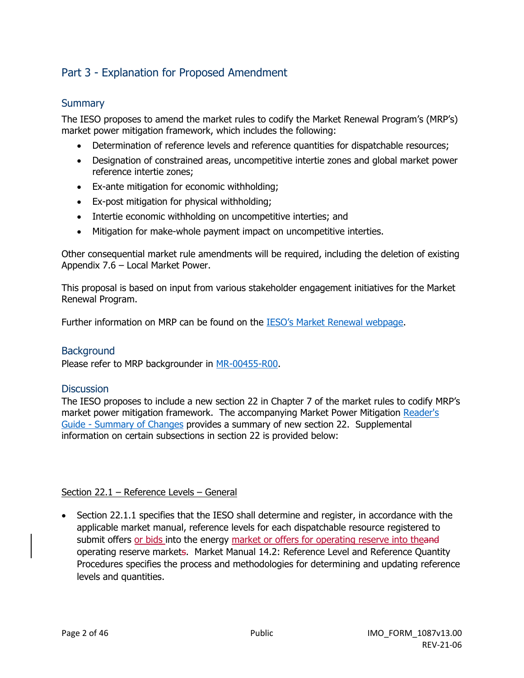### Part 3 - Explanation for Proposed Amendment

### **Summary**

The IESO proposes to amend the market rules to codify the Market Renewal Program's (MRP's) market power mitigation framework, which includes the following:

- Determination of reference levels and reference quantities for dispatchable resources;
- Designation of constrained areas, uncompetitive intertie zones and global market power reference intertie zones;
- Ex-ante mitigation for economic withholding;
- Ex-post mitigation for physical withholding;
- Intertie economic withholding on uncompetitive interties; and
- Mitigation for make-whole payment impact on uncompetitive interties.

Other consequential market rule amendments will be required, including the deletion of existing Appendix 7.6 – Local Market Power.

This proposal is based on input from various stakeholder engagement initiatives for the Market Renewal Program.

Further information on MRP can be found on the [IESO's Market Renewal webpage.](http://www.ieso.ca/Market-Renewal)

#### **Background**

Please refer to MRP backgrounder in [MR-00455-R00.](https://www.ieso.ca/-/media/Files/IESO/Document-Library/tp/2021/iesotp-20210422-MR_00450_R00-MRP-Participant-Authorization.ashx)

#### **Discussion**

The IESO proposes to include a new section 22 in Chapter 7 of the market rules to codify MRP's market power mitigation framework. The accompanying Market Power Mitigation [Reader's](https://www.ieso.ca/-/media/Files/IESO/Document-Library/engage/imrm/batch-2-summary-of-market-rule-changes.ashx)  [Guide - Summary of Changes](https://www.ieso.ca/-/media/Files/IESO/Document-Library/engage/imrm/batch-2-summary-of-market-rule-changes.ashx) provides a summary of new section 22. Supplemental information on certain subsections in section 22 is provided below:

#### Section 22.1 – Reference Levels – General

• Section 22.1.1 specifies that the IESO shall determine and register, in accordance with the applicable market manual, reference levels for each dispatchable resource registered to submit offers or bids into the energy market or offers for operating reserve into theand operating reserve markets. Market Manual 14.2: Reference Level and Reference Quantity Procedures specifies the process and methodologies for determining and updating reference levels and quantities.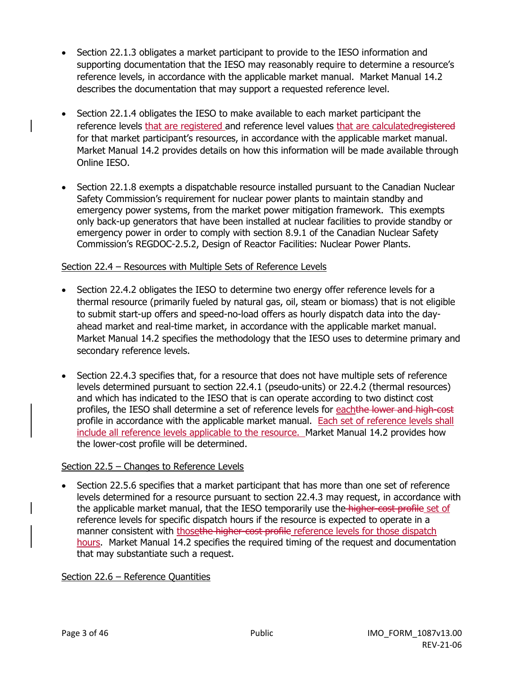- Section 22.1.3 obligates a market participant to provide to the IESO information and supporting documentation that the IESO may reasonably require to determine a resource's reference levels, in accordance with the applicable market manual. Market Manual 14.2 describes the documentation that may support a requested reference level.
- Section 22.1.4 obligates the IESO to make available to each market participant the reference levels that are registered and reference level values that are calculatedregistered for that market participant's resources, in accordance with the applicable market manual. Market Manual 14.2 provides details on how this information will be made available through Online IESO.
- Section 22.1.8 exempts a dispatchable resource installed pursuant to the Canadian Nuclear Safety Commission's requirement for nuclear power plants to maintain standby and emergency power systems, from the market power mitigation framework. This exempts only back-up generators that have been installed at nuclear facilities to provide standby or emergency power in order to comply with section 8.9.1 of the Canadian Nuclear Safety Commission's REGDOC-2.5.2, Design of Reactor Facilities: Nuclear Power Plants.

#### Section 22.4 – Resources with Multiple Sets of Reference Levels

- Section 22.4.2 obligates the IESO to determine two energy offer reference levels for a thermal resource (primarily fueled by natural gas, oil, steam or biomass) that is not eligible to submit start-up offers and speed-no-load offers as hourly dispatch data into the dayahead market and real-time market, in accordance with the applicable market manual. Market Manual 14.2 specifies the methodology that the IESO uses to determine primary and secondary reference levels.
- Section 22.4.3 specifies that, for a resource that does not have multiple sets of reference levels determined pursuant to section 22.4.1 (pseudo-units) or 22.4.2 (thermal resources) and which has indicated to the IESO that is can operate according to two distinct cost profiles, the IESO shall determine a set of reference levels for eachthe lower and high-cost profile in accordance with the applicable market manual. Each set of reference levels shall include all reference levels applicable to the resource. Market Manual 14.2 provides how the lower-cost profile will be determined.

#### Section 22.5 - Changes to Reference Levels

• Section 22.5.6 specifies that a market participant that has more than one set of reference levels determined for a resource pursuant to section 22.4.3 may request, in accordance with the applicable market manual, that the IESO temporarily use the higher-cost profile set of reference levels for specific dispatch hours if the resource is expected to operate in a manner consistent with thosethe higher-cost profile reference levels for those dispatch hours. Market Manual 14.2 specifies the required timing of the request and documentation that may substantiate such a request.

#### Section 22.6 - Reference Ouantities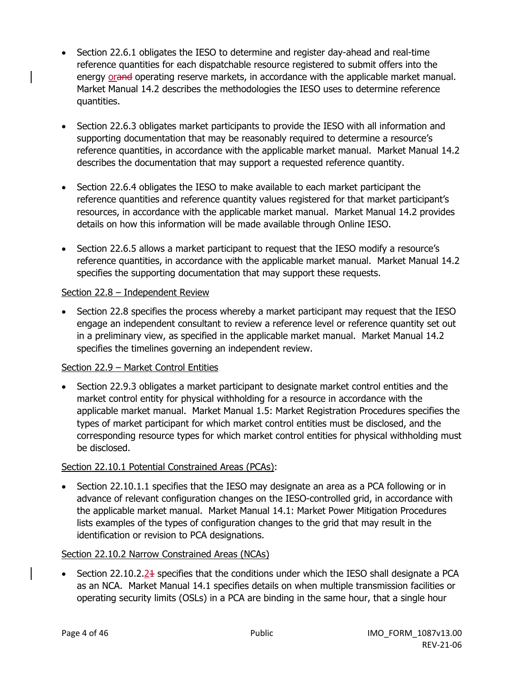- Section 22.6.1 obligates the IESO to determine and register day-ahead and real-time reference quantities for each dispatchable resource registered to submit offers into the energy orand operating reserve markets, in accordance with the applicable market manual. Market Manual 14.2 describes the methodologies the IESO uses to determine reference quantities.
- Section 22.6.3 obligates market participants to provide the IESO with all information and supporting documentation that may be reasonably required to determine a resource's reference quantities, in accordance with the applicable market manual. Market Manual 14.2 describes the documentation that may support a requested reference quantity.
- Section 22.6.4 obligates the IESO to make available to each market participant the reference quantities and reference quantity values registered for that market participant's resources, in accordance with the applicable market manual. Market Manual 14.2 provides details on how this information will be made available through Online IESO.
- Section 22.6.5 allows a market participant to request that the IESO modify a resource's reference quantities, in accordance with the applicable market manual. Market Manual 14.2 specifies the supporting documentation that may support these requests.

#### Section 22.8 - Independent Review

• Section 22.8 specifies the process whereby a market participant may request that the IESO engage an independent consultant to review a reference level or reference quantity set out in a preliminary view, as specified in the applicable market manual. Market Manual 14.2 specifies the timelines governing an independent review.

### Section 22.9 – Market Control Entities

• Section 22.9.3 obligates a market participant to designate market control entities and the market control entity for physical withholding for a resource in accordance with the applicable market manual. Market Manual 1.5: Market Registration Procedures specifies the types of market participant for which market control entities must be disclosed, and the corresponding resource types for which market control entities for physical withholding must be disclosed.

#### Section 22.10.1 Potential Constrained Areas (PCAs):

• Section 22.10.1.1 specifies that the IESO may designate an area as a PCA following or in advance of relevant configuration changes on the IESO-controlled grid, in accordance with the applicable market manual. Market Manual 14.1: Market Power Mitigation Procedures lists examples of the types of configuration changes to the grid that may result in the identification or revision to PCA designations.

#### Section 22.10.2 Narrow Constrained Areas (NCAs)

• Section 22.10.2.24 specifies that the conditions under which the IESO shall designate a PCA as an NCA. Market Manual 14.1 specifies details on when multiple transmission facilities or operating security limits (OSLs) in a PCA are binding in the same hour, that a single hour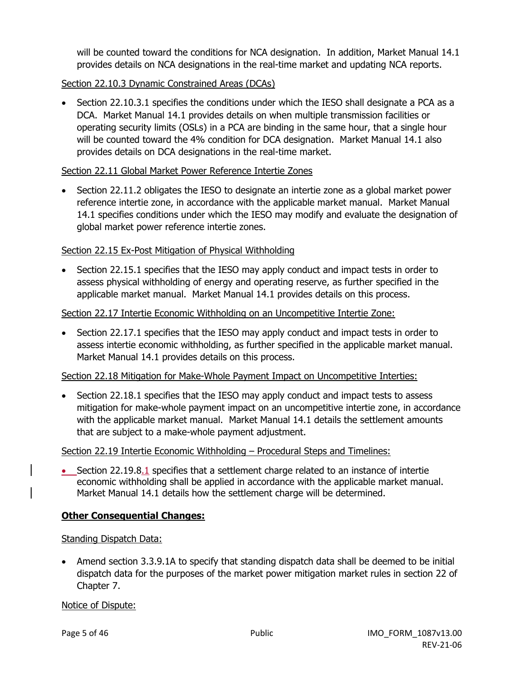will be counted toward the conditions for NCA designation. In addition, Market Manual 14.1 provides details on NCA designations in the real-time market and updating NCA reports.

### Section 22.10.3 Dynamic Constrained Areas (DCAs)

• Section 22.10.3.1 specifies the conditions under which the IESO shall designate a PCA as a DCA. Market Manual 14.1 provides details on when multiple transmission facilities or operating security limits (OSLs) in a PCA are binding in the same hour, that a single hour will be counted toward the 4% condition for DCA designation. Market Manual 14.1 also provides details on DCA designations in the real-time market.

#### Section 22.11 Global Market Power Reference Intertie Zones

• Section 22.11.2 obligates the IESO to designate an intertie zone as a global market power reference intertie zone, in accordance with the applicable market manual. Market Manual 14.1 specifies conditions under which the IESO may modify and evaluate the designation of global market power reference intertie zones.

### Section 22.15 Ex-Post Mitigation of Physical Withholding

• Section 22.15.1 specifies that the IESO may apply conduct and impact tests in order to assess physical withholding of energy and operating reserve, as further specified in the applicable market manual. Market Manual 14.1 provides details on this process.

### Section 22.17 Intertie Economic Withholding on an Uncompetitive Intertie Zone:

• Section 22.17.1 specifies that the IESO may apply conduct and impact tests in order to assess intertie economic withholding, as further specified in the applicable market manual. Market Manual 14.1 provides details on this process.

#### Section 22.18 Mitigation for Make-Whole Payment Impact on Uncompetitive Interties:

• Section 22.18.1 specifies that the IESO may apply conduct and impact tests to assess mitigation for make-whole payment impact on an uncompetitive intertie zone, in accordance with the applicable market manual. Market Manual 14.1 details the settlement amounts that are subject to a make-whole payment adjustment.

#### Section 22.19 Intertie Economic Withholding – Procedural Steps and Timelines:

• Section 22.19.8.1 specifies that a settlement charge related to an instance of intertie economic withholding shall be applied in accordance with the applicable market manual. Market Manual 14.1 details how the settlement charge will be determined.

### **Other Consequential Changes:**

#### Standing Dispatch Data:

• Amend section 3.3.9.1A to specify that standing dispatch data shall be deemed to be initial dispatch data for the purposes of the market power mitigation market rules in section 22 of Chapter 7.

#### Notice of Dispute: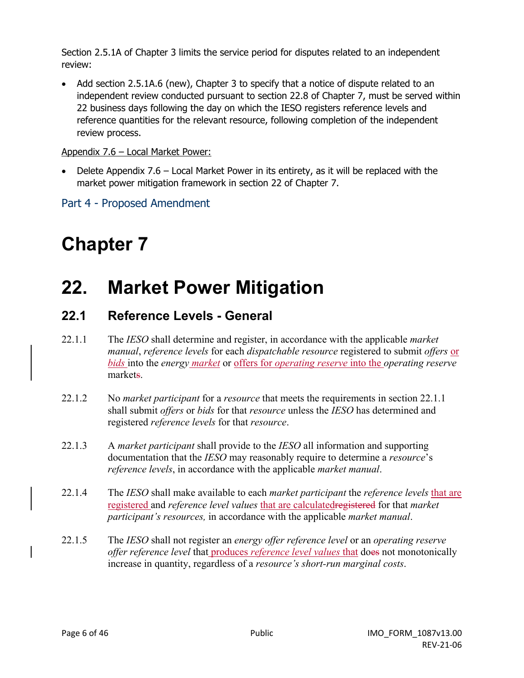Section 2.5.1A of Chapter 3 limits the service period for disputes related to an independent review:

Add section 2.5.1A.6 (new), Chapter 3 to specify that a notice of dispute related to an independent review conducted pursuant to section 22.8 of Chapter 7, must be served within 22 business days following the day on which the IESO registers reference levels and reference quantities for the relevant resource, following completion of the independent review process.

### Appendix 7.6 – Local Market Power:

• Delete Appendix 7.6 – Local Market Power in its entirety, as it will be replaced with the market power mitigation framework in section 22 of Chapter 7.

Part 4 - Proposed Amendment

# **Chapter 7**

## **22. Market Power Mitigation**

### **22.1 Reference Levels - General**

- 22.1.1 The *IESO* shall determine and register, in accordance with the applicable *market manual*, *reference levels* for each *dispatchable resource* registered to submit *offers* or *bids* into the *energy market* or offers for *operating reserve* into the *operating reserve* markets.
- 22.1.2 No *market participant* for a *resource* that meets the requirements in section 22.1.1 shall submit *offers* or *bids* for that *resource* unless the *IESO* has determined and registered *reference levels* for that *resource*.
- 22.1.3 A *market participant* shall provide to the *IESO* all information and supporting documentation that the *IESO* may reasonably require to determine a *resource*'s *reference levels*, in accordance with the applicable *market manual*.
- 22.1.4 The *IESO* shall make available to each *market participant* the *reference levels* that are registered and *reference level values* that are calculatedregistered for that *market participant's resources,* in accordance with the applicable *market manual*.
- 22.1.5 The *IESO* shall not register an *energy offer reference level* or an *operating reserve offer reference level* that produces *reference level values* that does not monotonically increase in quantity, regardless of a *resource's short-run marginal costs*.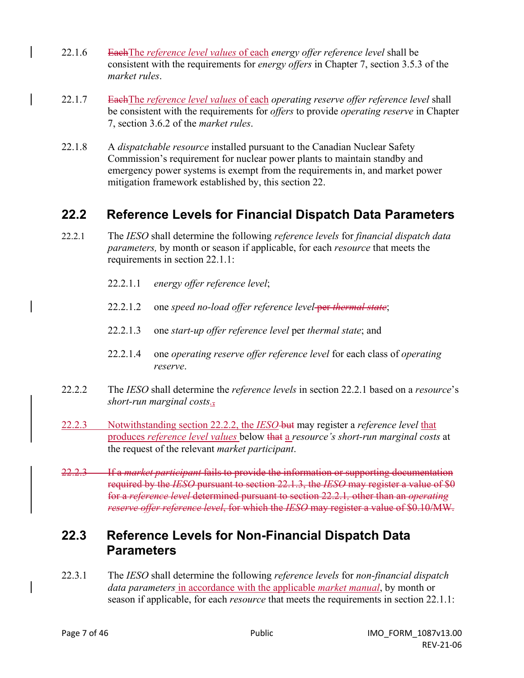- 22.1.6 EachThe *reference level values* of each *energy offer reference level* shall be consistent with the requirements for *energy offers* in Chapter 7, section 3.5.3 of the *market rules*.
- 22.1.7 EachThe *reference level values* of each *operating reserve offer reference level* shall be consistent with the requirements for *offers* to provide *operating reserve* in Chapter 7, section 3.6.2 of the *market rules*.
- 22.1.8 A *dispatchable resource* installed pursuant to the Canadian Nuclear Safety Commission's requirement for nuclear power plants to maintain standby and emergency power systems is exempt from the requirements in, and market power mitigation framework established by, this section 22.

### **22.2 Reference Levels for Financial Dispatch Data Parameters**

- 22.2.1 The *IESO* shall determine the following *reference levels* for *financial dispatch data parameters,* by month or season if applicable, for each *resource* that meets the requirements in section 22.1.1:
	- 22.2.1.1 *energy offer reference level*;
	- 22.2.1.2 one *speed no-load offer reference level* per *thermal state*;
	- 22.2.1.3 one *start-up offer reference level* per *thermal state*; and
	- 22.2.1.4 one *operating reserve offer reference level* for each class of *operating reserve*.
- 22.2.2 The *IESO* shall determine the *reference levels* in section 22.2.1 based on a *resource*'s *short-run marginal costs.*,
- 22.2.3 Notwithstanding section 22.2.2, the *IESO* but may register a *reference level* that produces *reference level values* below that a *resource's short-run marginal costs* at the request of the relevant *market participant*.
- 22.2.3 If a *market participant* fails to provide the information or supporting documentation required by the *IESO* pursuant to section 22.1.3, the *IESO* may register a value of \$0 for a *reference level* determined pursuant to section 22.2.1*,* other than an *operating reserve offer reference level*, for which the *IESO* may register a value of \$0.10/MW.

### **22.3 Reference Levels for Non-Financial Dispatch Data Parameters**

22.3.1 The *IESO* shall determine the following *reference levels* for *non-financial dispatch data parameters* in accordance with the applicable *market manual*, by month or season if applicable, for each *resource* that meets the requirements in section 22.1.1: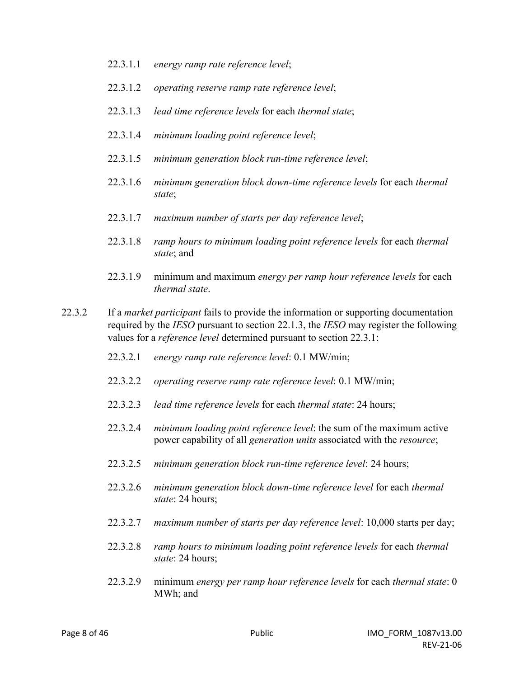- 22.3.1.1 *energy ramp rate reference level*;
- 22.3.1.2 *operating reserve ramp rate reference level*;
- 22.3.1.3 *lead time reference levels* for each *thermal state*;
- 22.3.1.4 *minimum loading point reference level*;
- 22.3.1.5 *minimum generation block run-time reference level*;
- 22.3.1.6 *minimum generation block down-time reference levels* for each *thermal state*;
- 22.3.1.7 *maximum number of starts per day reference level*;
- 22.3.1.8 *ramp hours to minimum loading point reference levels* for each *thermal state*; and
- 22.3.1.9 minimum and maximum *energy per ramp hour reference levels* for each *thermal state*.
- 22.3.2 If a *market participant* fails to provide the information or supporting documentation required by the *IESO* pursuant to section 22.1.3, the *IESO* may register the following values for a *reference level* determined pursuant to section 22.3.1:
	- 22.3.2.1 *energy ramp rate reference level*: 0.1 MW/min;
	- 22.3.2.2 *operating reserve ramp rate reference level*: 0.1 MW/min;
	- 22.3.2.3 *lead time reference levels* for each *thermal state*: 24 hours;
	- 22.3.2.4 *minimum loading point reference level*: the sum of the maximum active power capability of all *generation units* associated with the *resource*;
	- 22.3.2.5 *minimum generation block run-time reference level*: 24 hours;
	- 22.3.2.6 *minimum generation block down-time reference level* for each *thermal state*: 24 hours;
	- 22.3.2.7 *maximum number of starts per day reference level*: 10,000 starts per day;
	- 22.3.2.8 *ramp hours to minimum loading point reference levels* for each *thermal state*: 24 hours;
	- 22.3.2.9 minimum *energy per ramp hour reference levels* for each *thermal state*: 0 MWh; and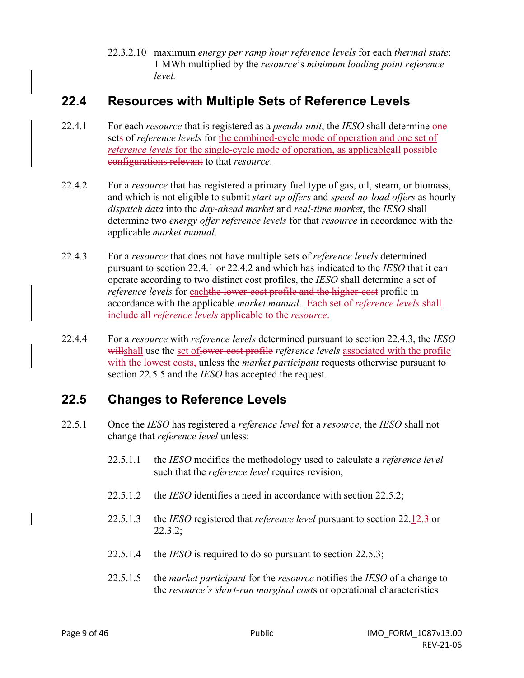22.3.2.10 maximum *energy per ramp hour reference levels* for each *thermal state*: 1 MWh multiplied by the *resource*'s *minimum loading point reference level.*

### **22.4 Resources with Multiple Sets of Reference Levels**

- 22.4.1 For each *resource* that is registered as a *pseudo-unit*, the *IESO* shall determine one sets of *reference levels* for the combined-cycle mode of operation and one set of *reference levels* for the single-cycle mode of operation, as applicableall possible configurations relevant to that *resource*.
- 22.4.2 For a *resource* that has registered a primary fuel type of gas, oil, steam, or biomass, and which is not eligible to submit *start-up offers* and *speed-no-load offers* as hourly *dispatch data* into the *day-ahead market* and *real-time market*, the *IESO* shall determine two *energy offer reference levels* for that *resource* in accordance with the applicable *market manual*.
- 22.4.3 For a *resource* that does not have multiple sets of *reference levels* determined pursuant to section 22.4.1 or 22.4.2 and which has indicated to the *IESO* that it can operate according to two distinct cost profiles, the *IESO* shall determine a set of *reference levels* for eachthe lower-cost profile and the higher-cost profile in accordance with the applicable *market manual*. Each set of *reference levels* shall include all *reference levels* applicable to the *resource*.
- 22.4.4 For a *resource* with *reference levels* determined pursuant to section 22.4.3, the *IESO* willshall use the set oflower-cost profile *reference levels* associated with the profile with the lowest costs, unless the *market participant* requests otherwise pursuant to section 22.5.5 and the *IESO* has accepted the request.

### **22.5 Changes to Reference Levels**

- 22.5.1 Once the *IESO* has registered a *reference level* for a *resource*, the *IESO* shall not change that *reference level* unless:
	- 22.5.1.1 the *IESO* modifies the methodology used to calculate a *reference level* such that the *reference level* requires revision;
	- 22.5.1.2 the *IESO* identifies a need in accordance with section 22.5.2;
	- 22.5.1.3 the *IESO* registered that *reference level* pursuant to section 22.12.3 or 22.3.2;
	- 22.5.1.4 the *IESO* is required to do so pursuant to section 22.5.3;
	- 22.5.1.5 the *market participant* for the *resource* notifies the *IESO* of a change to the *resource's short-run marginal cost*s or operational characteristics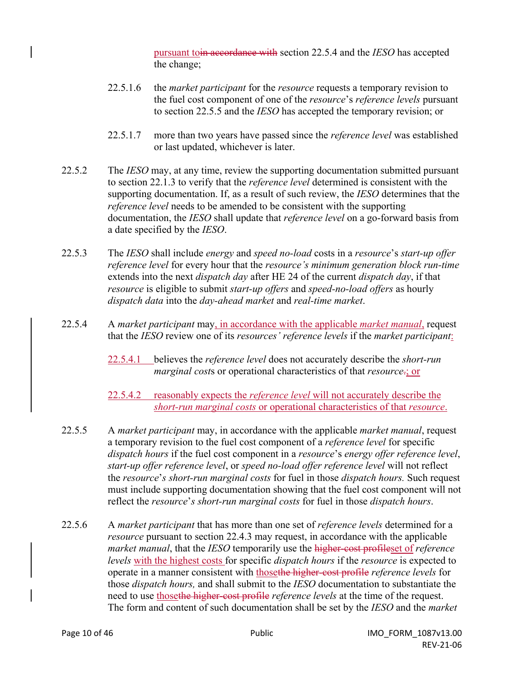pursuant toin accordance with section 22.5.4 and the *IESO* has accepted the change;

- 22.5.1.6 the *market participant* for the *resource* requests a temporary revision to the fuel cost component of one of the *resource*'s *reference levels* pursuant to section 22.5.5 and the *IESO* has accepted the temporary revision; or
- 22.5.1.7 more than two years have passed since the *reference level* was established or last updated, whichever is later.
- 22.5.2 The *IESO* may, at any time, review the supporting documentation submitted pursuant to section 22.1.3 to verify that the *reference level* determined is consistent with the supporting documentation. If, as a result of such review, the *IESO* determines that the *reference level* needs to be amended to be consistent with the supporting documentation, the *IESO* shall update that *reference level* on a go-forward basis from a date specified by the *IESO*.
- 22.5.3 The *IESO* shall include *energy* and *speed no-load* costs in a *resource*'s *start-up offer reference level* for every hour that the *resource's minimum generation block run-time* extends into the next *dispatch day* after HE 24 of the current *dispatch day*, if that *resource* is eligible to submit *start-up offers* and *speed-no-load offers* as hourly *dispatch data* into the *day-ahead market* and *real-time market*.
- 22.5.4 A *market participant* may, in accordance with the applicable *market manual*, request that the *IESO* review one of its *resources' reference levels* if the *market participant*:
	- 22.5.4.1 believes the *reference level* does not accurately describe the *short-run marginal cost*s or operational characteristics of that *resource*.; or

22.5.4.2 reasonably expects the *reference level* will not accurately describe the *short-run marginal costs* or operational characteristics of that *resource*.

- 22.5.5 A *market participant* may, in accordance with the applicable *market manual*, request a temporary revision to the fuel cost component of a *reference level* for specific *dispatch hours* if the fuel cost component in a *resource*'s *energy offer reference level*, *start-up offer reference level*, or *speed no-load offer reference level* will not reflect the *resource*'*s short-run marginal costs* for fuel in those *dispatch hours.* Such request must include supporting documentation showing that the fuel cost component will not reflect the *resource*'*s short-run marginal costs* for fuel in those *dispatch hours*.
- 22.5.6 A *market participant* that has more than one set of *reference levels* determined for a *resource* pursuant to section 22.4.3 may request, in accordance with the applicable *market manual*, that the *IESO* temporarily use the higher-cost profileset of *reference levels* with the highest costs for specific *dispatch hours* if the *resource* is expected to operate in a manner consistent with thosethe higher-cost profile *reference levels* for those *dispatch hours,* and shall submit to the *IESO* documentation to substantiate the need to use thosethe higher-cost profile *reference levels* at the time of the request. The form and content of such documentation shall be set by the *IESO* and the *market*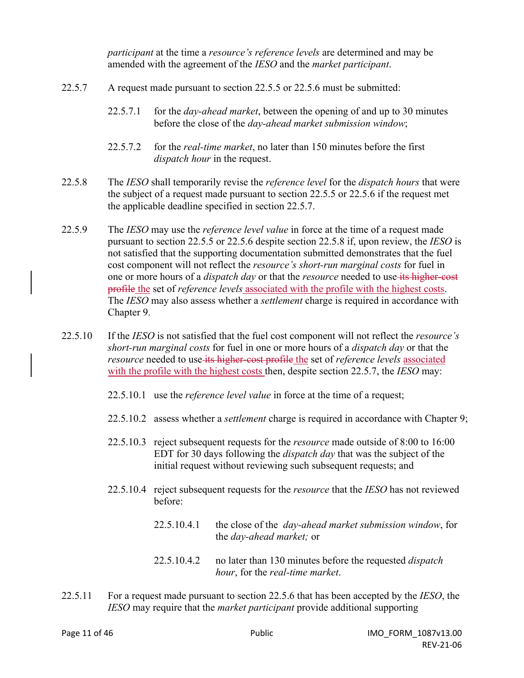*participant* at the time a *resource's reference levels* are determined and may be amended with the agreement of the *IESO* and the *market participant*.

- 22.5.7 A request made pursuant to section 22.5.5 or 22.5.6 must be submitted:
	- 22.5.7.1 for the *day-ahead market*, between the opening of and up to 30 minutes before the close of the *day-ahead market submission window*;
	- 22.5.7.2 for the *real-time market*, no later than 150 minutes before the first *dispatch hour* in the request.
- 22.5.8 The *IESO* shall temporarily revise the *reference level* for the *dispatch hours* that were the subject of a request made pursuant to section 22.5.5 or 22.5.6 if the request met the applicable deadline specified in section 22.5.7.
- 22.5.9 The *IESO* may use the *reference level value* in force at the time of a request made pursuant to section 22.5.5 or 22.5.6 despite section 22.5.8 if, upon review, the *IESO* is not satisfied that the supporting documentation submitted demonstrates that the fuel cost component will not reflect the *resource's short-run marginal costs* for fuel in one or more hours of a *dispatch day* or that the *resource* needed to use its higher-cost profile the set of *reference levels* associated with the profile with the highest costs. The *IESO* may also assess whether a *settlement* charge is required in accordance with Chapter 9.
- 22.5.10 If the *IESO* is not satisfied that the fuel cost component will not reflect the *resource's short-run marginal costs* for fuel in one or more hours of a *dispatch day* or that the *resource* needed to use its higher-cost profile the set of *reference levels* associated with the profile with the highest costs then, despite section 22.5.7, the *IESO* may:
	- 22.5.10.1 use the *reference level value* in force at the time of a request;
	- 22.5.10.2 assess whether a *settlement* charge is required in accordance with Chapter 9;
	- 22.5.10.3 reject subsequent requests for the *resource* made outside of 8:00 to 16:00 EDT for 30 days following the *dispatch day* that was the subject of the initial request without reviewing such subsequent requests; and
	- 22.5.10.4 reject subsequent requests for the *resource* that the *IESO* has not reviewed before:
		- 22.5.10.4.1 the close of the *day-ahead market submission window*, for the *day-ahead market;* or
		- 22.5.10.4.2 no later than 130 minutes before the requested *dispatch hour*, for the *real-time market*.
- 22.5.11 For a request made pursuant to section 22.5.6 that has been accepted by the *IESO*, the *IESO* may require that the *market participant* provide additional supporting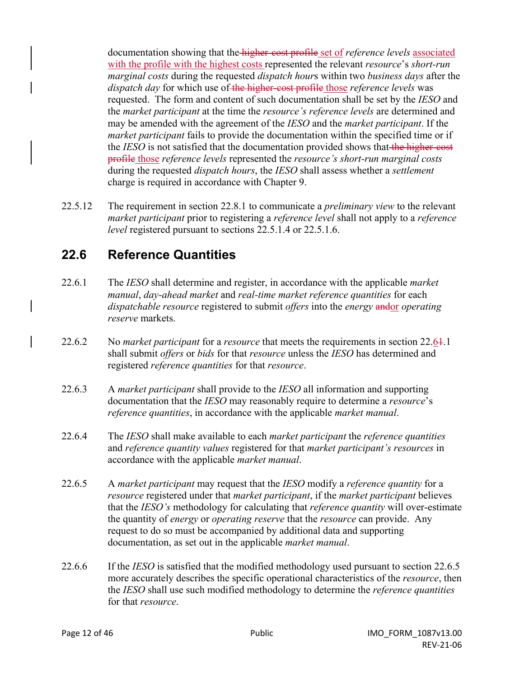documentation showing that the higher-cost profile set of *reference levels* associated with the profile with the highest costs represented the relevant *resource*'s *short-run marginal costs* during the requested *dispatch hour*s within two *business days* after the *dispatch day* for which use of the higher-cost profile those *reference levels* was requested. The form and content of such documentation shall be set by the *IESO* and the *market participant* at the time the *resource's reference levels* are determined and may be amended with the agreement of the *IESO* and the *market participant*. If the *market participant* fails to provide the documentation within the specified time or if the *IESO* is not satisfied that the documentation provided shows that the higher-cost profile those *reference levels* represented the *resource's short-run marginal costs*  during the requested *dispatch hours*, the *IESO* shall assess whether a *settlement* charge is required in accordance with Chapter 9.

22.5.12 The requirement in section 22.8.1 to communicate a *preliminary view* to the relevant *market participant* prior to registering a *reference level* shall not apply to a *reference level* registered pursuant to sections 22.5.1.4 or 22.5.1.6.

### **22.6 Reference Quantities**

- 22.6.1 The *IESO* shall determine and register, in accordance with the applicable *market manual*, *day-ahead market* and *real-time market reference quantities* for each *dispatchable resource* registered to submit *offers* into the *energy* andor *operating reserve* markets.
- 22.6.2 No *market participant* for a *resource* that meets the requirements in section 22.61.1 shall submit *offers* or *bids* for that *resource* unless the *IESO* has determined and registered *reference quantities* for that *resource*.
- 22.6.3 A *market participant* shall provide to the *IESO* all information and supporting documentation that the *IESO* may reasonably require to determine a *resource*'s *reference quantities*, in accordance with the applicable *market manual*.
- 22.6.4 The *IESO* shall make available to each *market participant* the *reference quantities* and *reference quantity values* registered for that *market participant's resources* in accordance with the applicable *market manual*.
- 22.6.5 A *market participant* may request that the *IESO* modify a *reference quantity* for a *resource* registered under that *market participant*, if the *market participant* believes that the *IESO's* methodology for calculating that *reference quantity* will over-estimate the quantity of *energy* or *operating reserve* that the *resource* can provide. Any request to do so must be accompanied by additional data and supporting documentation, as set out in the applicable *market manual*.
- 22.6.6 If the *IESO* is satisfied that the modified methodology used pursuant to section 22.6.5 more accurately describes the specific operational characteristics of the *resource*, then the *IESO* shall use such modified methodology to determine the *reference quantities* for that *resource*.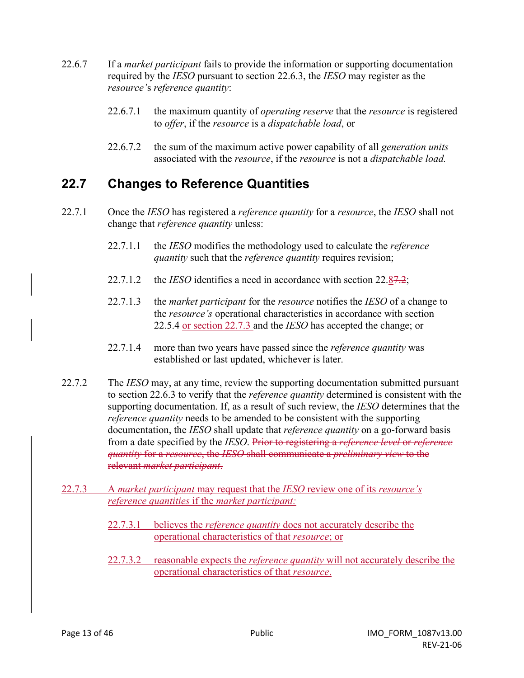- 22.6.7 If a *market participant* fails to provide the information or supporting documentation required by the *IESO* pursuant to section 22.6.3, the *IESO* may register as the *resource'*s *reference quantity*:
	- 22.6.7.1 the maximum quantity of *operating reserve* that the *resource* is registered to *offer*, if the *resource* is a *dispatchable load*, or
	- 22.6.7.2 the sum of the maximum active power capability of all *generation units* associated with the *resource*, if the *resource* is not a *dispatchable load.*

### **22.7 Changes to Reference Quantities**

- 22.7.1 Once the *IESO* has registered a *reference quantity* for a *resource*, the *IESO* shall not change that *reference quantity* unless:
	- 22.7.1.1 the *IESO* modifies the methodology used to calculate the *reference quantity* such that the *reference quantity* requires revision;
	- 22.7.1.2 the *IESO* identifies a need in accordance with section 22.87.2;
	- 22.7.1.3 the *market participant* for the *resource* notifies the *IESO* of a change to the *resource's* operational characteristics in accordance with section 22.5.4 or section 22.7.3 and the *IESO* has accepted the change; or
	- 22.7.1.4 more than two years have passed since the *reference quantity* was established or last updated, whichever is later.
- 22.7.2 The *IESO* may, at any time, review the supporting documentation submitted pursuant to section 22.6.3 to verify that the *reference quantity* determined is consistent with the supporting documentation. If, as a result of such review, the *IESO* determines that the *reference quantity* needs to be amended to be consistent with the supporting documentation, the *IESO* shall update that *reference quantity* on a go-forward basis from a date specified by the *IESO*. Prior to registering a *reference level* or *reference quantity* for a *resource*, the *IESO* shall communicate a *preliminary view* to the relevant *market participant*.
- 22.7.3 A *market participant* may request that the *IESO* review one of its *resource's reference quantities* if the *market participant:* 
	- 22.7.3.1 believes the *reference quantity* does not accurately describe the operational characteristics of that *resource*; or
	- 22.7.3.2 reasonable expects the *reference quantity* will not accurately describe the operational characteristics of that *resource*.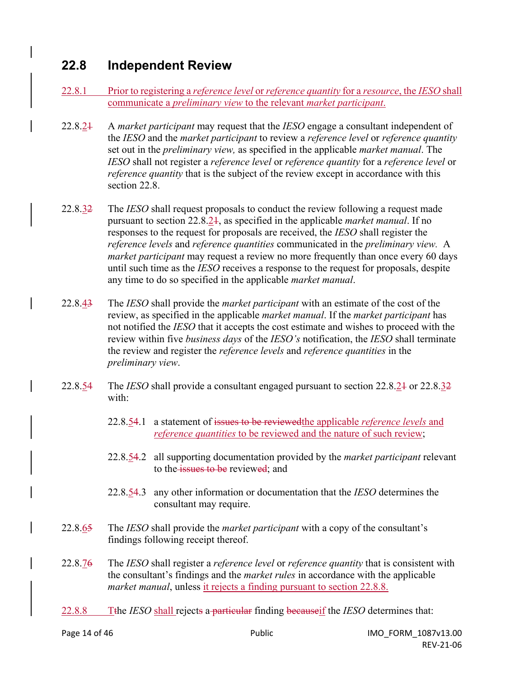### **22.8 Independent Review**

- 22.8.1 Prior to registering a *reference level* or *reference quantity* for a *resource*, the *IESO* shall communicate a *preliminary view* to the relevant *market participant*.
- 22.8.21 A *market participant* may request that the *IESO* engage a consultant independent of the *IESO* and the *market participant* to review a *reference level* or *reference quantity* set out in the *preliminary view,* as specified in the applicable *market manual*. The *IESO* shall not register a *reference level* or *reference quantity* for a *reference level* or *reference quantity* that is the subject of the review except in accordance with this section 22.8.
- 22.8.32 The *IESO* shall request proposals to conduct the review following a request made pursuant to section 22.8.21, as specified in the applicable *market manual*. If no responses to the request for proposals are received, the *IESO* shall register the *reference levels* and *reference quantities* communicated in the *preliminary view.* A *market participant* may request a review no more frequently than once every 60 days until such time as the *IESO* receives a response to the request for proposals, despite any time to do so specified in the applicable *market manual*.
- 22.8.43 The *IESO* shall provide the *market participant* with an estimate of the cost of the review, as specified in the applicable *market manual*. If the *market participant* has not notified the *IESO* that it accepts the cost estimate and wishes to proceed with the review within five *business days* of the *IESO's* notification, the *IESO* shall terminate the review and register the *reference levels* and *reference quantities* in the *preliminary view*.
- 22.8.54 The *IESO* shall provide a consultant engaged pursuant to section 22.8.21 or 22.8.32 with:
	- 22.8.54.1 a statement of issues to be reviewedthe applicable *reference levels* and *reference quantities* to be reviewed and the nature of such review;
	- 22.8.54.2 all supporting documentation provided by the *market participant* relevant to the issues to be reviewed; and
	- 22.8.54.3 any other information or documentation that the *IESO* determines the consultant may require.
- 22.8.65 The *IESO* shall provide the *market participant* with a copy of the consultant's findings following receipt thereof.
- 22.8.76 The *IESO* shall register a *reference level* or *reference quantity* that is consistent with the consultant's findings and the *market rules* in accordance with the applicable *market manual*, unless it rejects a finding pursuant to section 22.8.8.
- 22.8.8 Tthe *IESO* shall rejects a particular finding becauseif the *IESO* determines that: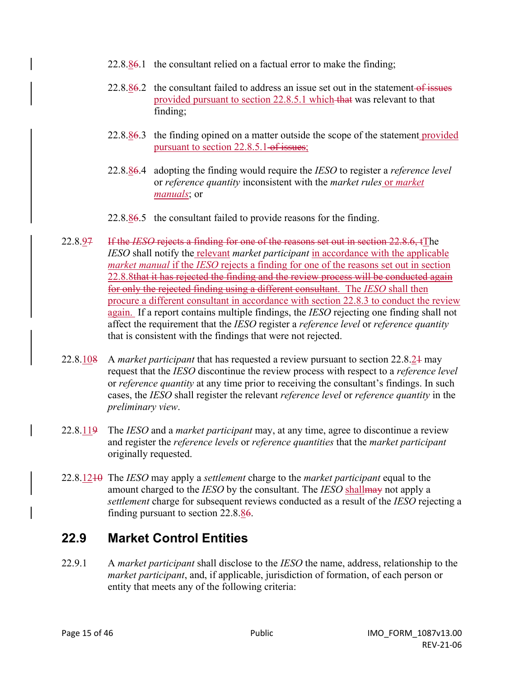- 22.8.86.1 the consultant relied on a factual error to make the finding;
- $22.8.86.2$  the consultant failed to address an issue set out in the statement of issues provided pursuant to section 22.8.5.1 which that was relevant to that finding;
- 22.8.86.3 the finding opined on a matter outside the scope of the statement provided pursuant to section 22.8.5.1 of issues;
- 22.8.86.4 adopting the finding would require the *IESO* to register a *reference level* or *reference quantity* inconsistent with the *market rules* or *market manuals*; or
- 22.8.86.5 the consultant failed to provide reasons for the finding.
- 22.8.97 If the *IESO* rejects a finding for one of the reasons set out in section 22.8.6, tThe *IESO* shall notify the relevant *market participant* in accordance with the applicable *market manual* if the *IESO* rejects a finding for one of the reasons set out in section 22.8.8that it has rejected the finding and the review process will be conducted again for only the rejected finding using a different consultant. The *IESO* shall then procure a different consultant in accordance with section 22.8.3 to conduct the review again. If a report contains multiple findings, the *IESO* rejecting one finding shall not affect the requirement that the *IESO* register a *reference level* or *reference quantity*  that is consistent with the findings that were not rejected.
- 22.8.108 A *market participant* that has requested a review pursuant to section 22.8.21 may request that the *IESO* discontinue the review process with respect to a *reference level* or *reference quantity* at any time prior to receiving the consultant's findings. In such cases, the *IESO* shall register the relevant *reference level* or *reference quantity* in the *preliminary view*.
- 22.8.119 The *IESO* and a *market participant* may, at any time, agree to discontinue a review and register the *reference levels* or *reference quantities* that the *market participant* originally requested.
- 22.8.1210 The *IESO* may apply a *settlement* charge to the *market participant* equal to the amount charged to the *IESO* by the consultant. The *IESO* shallmay not apply a *settlement* charge for subsequent reviews conducted as a result of the *IESO* rejecting a finding pursuant to section 22.8.86.

### **22.9 Market Control Entities**

22.9.1 A *market participant* shall disclose to the *IESO* the name, address, relationship to the *market participant*, and, if applicable, jurisdiction of formation, of each person or entity that meets any of the following criteria: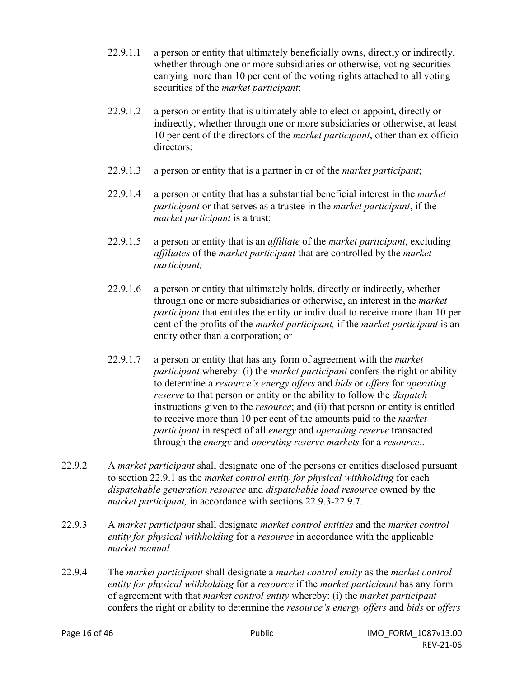- 22.9.1.1 a person or entity that ultimately beneficially owns, directly or indirectly, whether through one or more subsidiaries or otherwise, voting securities carrying more than 10 per cent of the voting rights attached to all voting securities of the *market participant*;
- 22.9.1.2 a person or entity that is ultimately able to elect or appoint, directly or indirectly, whether through one or more subsidiaries or otherwise, at least 10 per cent of the directors of the *market participant*, other than ex officio directors;
- 22.9.1.3 a person or entity that is a partner in or of the *market participant*;
- 22.9.1.4 a person or entity that has a substantial beneficial interest in the *market participant* or that serves as a trustee in the *market participant*, if the *market participant* is a trust;
- 22.9.1.5 a person or entity that is an *affiliate* of the *market participant*, excluding *affiliates* of the *market participant* that are controlled by the *market participant;*
- 22.9.1.6 a person or entity that ultimately holds, directly or indirectly, whether through one or more subsidiaries or otherwise, an interest in the *market participant* that entitles the entity or individual to receive more than 10 per cent of the profits of the *market participant,* if the *market participant* is an entity other than a corporation; or
- 22.9.1.7 a person or entity that has any form of agreement with the *market participant* whereby: (i) the *market participant* confers the right or ability to determine a *resource's energy offers* and *bids* or *offers* for *operating reserve* to that person or entity or the ability to follow the *dispatch* instructions given to the *resource*; and (ii) that person or entity is entitled to receive more than 10 per cent of the amounts paid to the *market participant* in respect of all *energy* and *operating reserve* transacted through the *energy* and *operating reserve markets* for a *resource*..
- 22.9.2 A *market participant* shall designate one of the persons or entities disclosed pursuant to section 22.9.1 as the *market control entity for physical withholding* for each *dispatchable generation resource* and *dispatchable load resource* owned by the *market participant,* in accordance with sections 22.9.3-22.9.7.
- 22.9.3 A *market participant* shall designate *market control entities* and the *market control entity for physical withholding* for a *resource* in accordance with the applicable *market manual*.
- 22.9.4 The *market participant* shall designate a *market control entity* as the *market control entity for physical withholding* for a *resource* if the *market participant* has any form of agreement with that *market control entity* whereby: (i) the *market participant* confers the right or ability to determine the *resource's energy offers* and *bids* or *offers*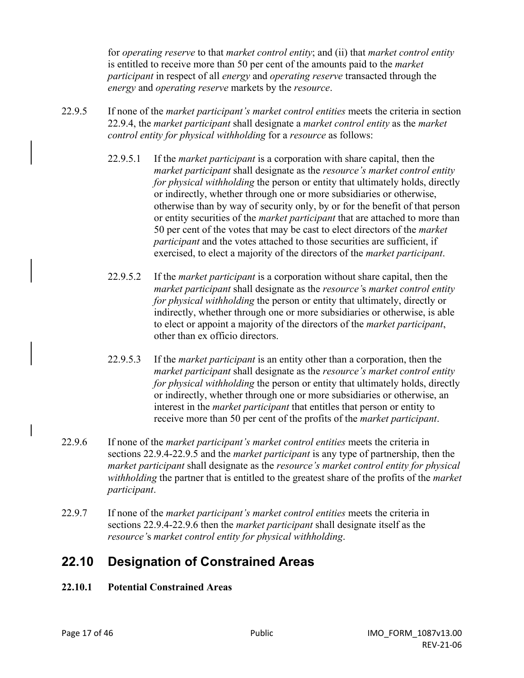for *operating reserve* to that *market control entity*; and (ii) that *market control entity* is entitled to receive more than 50 per cent of the amounts paid to the *market participant* in respect of all *energy* and *operating reserve* transacted through the *energy* and *operating reserve* markets by the *resource*.

- 22.9.5 If none of the *market participant's market control entities* meets the criteria in section 22.9.4, the *market participant* shall designate a *market control entity* as the *market control entity for physical withholding* for a *resource* as follows:
	- 22.9.5.1 If the *market participant* is a corporation with share capital, then the *market participant* shall designate as the *resource's market control entity for physical withholding* the person or entity that ultimately holds, directly or indirectly, whether through one or more subsidiaries or otherwise, otherwise than by way of security only, by or for the benefit of that person or entity securities of the *market participant* that are attached to more than 50 per cent of the votes that may be cast to elect directors of the *market participant* and the votes attached to those securities are sufficient, if exercised, to elect a majority of the directors of the *market participant*.
	- 22.9.5.2 If the *market participant* is a corporation without share capital, then the *market participant* shall designate as the *resource'*s *market control entity for physical withholding* the person or entity that ultimately, directly or indirectly, whether through one or more subsidiaries or otherwise, is able to elect or appoint a majority of the directors of the *market participant*, other than ex officio directors.
	- 22.9.5.3 If the *market participant* is an entity other than a corporation, then the *market participant* shall designate as the *resource's market control entity for physical withholding* the person or entity that ultimately holds, directly or indirectly, whether through one or more subsidiaries or otherwise, an interest in the *market participant* that entitles that person or entity to receive more than 50 per cent of the profits of the *market participant*.
- 22.9.6 If none of the *market participant's market control entities* meets the criteria in sections 22.9.4-22.9.5 and the *market participant* is any type of partnership, then the *market participant* shall designate as the *resource's market control entity for physical withholding* the partner that is entitled to the greatest share of the profits of the *market participant*.
- 22.9.7 If none of the *market participant's market control entities* meets the criteria in sections 22.9.4-22.9.6 then the *market participant* shall designate itself as the *resource'*s *market control entity for physical withholding*.

### **22.10 Designation of Constrained Areas**

### **22.10.1 Potential Constrained Areas**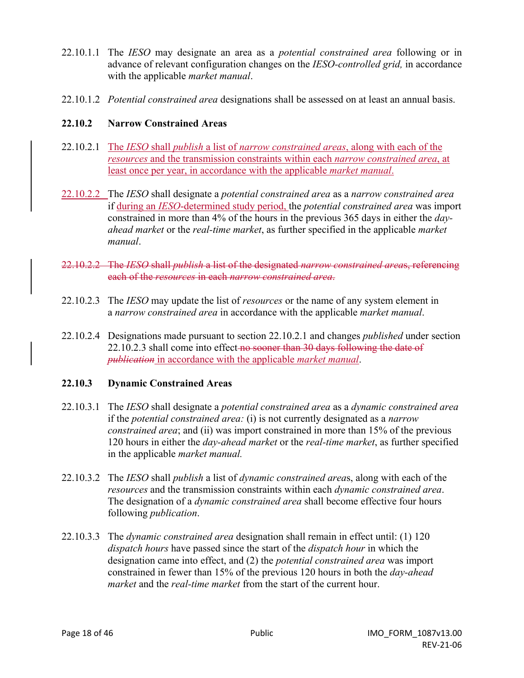- 22.10.1.1 The *IESO* may designate an area as a *potential constrained area* following or in advance of relevant configuration changes on the *IESO-controlled grid,* in accordance with the applicable *market manual*.
- 22.10.1.2 *Potential constrained area* designations shall be assessed on at least an annual basis.

### **22.10.2 Narrow Constrained Areas**

- 22.10.2.1 The *IESO* shall *publish* a list of *narrow constrained areas*, along with each of the *resources* and the transmission constraints within each *narrow constrained area*, at least once per year, in accordance with the applicable *market manual*.
- 22.10.2.2 The *IESO* shall designate a *potential constrained area* as a *narrow constrained area* if during an *IESO*-determined study period, the *potential constrained area* was import constrained in more than 4% of the hours in the previous 365 days in either the *dayahead market* or the *real-time market*, as further specified in the applicable *market manual*.
- 22.10.2.2 The *IESO* shall *publish* a list of the designated *narrow constrained area*s, referencing each of the *resources* in each *narrow constrained area*.
- 22.10.2.3 The *IESO* may update the list of *resources* or the name of any system element in a *narrow constrained area* in accordance with the applicable *market manual*.
- 22.10.2.4 Designations made pursuant to section 22.10.2.1 and changes *published* under section 22.10.2.3 shall come into effect no sooner than 30 days following the date of *publication* in accordance with the applicable *market manual*.

#### **22.10.3 Dynamic Constrained Areas**

- 22.10.3.1 The *IESO* shall designate a *potential constrained area* as a *dynamic constrained area* if the *potential constrained area:* (i) is not currently designated as a *narrow constrained area*; and (ii) was import constrained in more than 15% of the previous 120 hours in either the *day-ahead market* or the *real-time market*, as further specified in the applicable *market manual.*
- 22.10.3.2 The *IESO* shall *publish* a list of *dynamic constrained area*s, along with each of the *resources* and the transmission constraints within each *dynamic constrained area*. The designation of a *dynamic constrained area* shall become effective four hours following *publication*.
- 22.10.3.3 The *dynamic constrained area* designation shall remain in effect until: (1) 120 *dispatch hours* have passed since the start of the *dispatch hour* in which the designation came into effect, and (2) the *potential constrained area* was import constrained in fewer than 15% of the previous 120 hours in both the *day-ahead market* and the *real-time market* from the start of the current hour.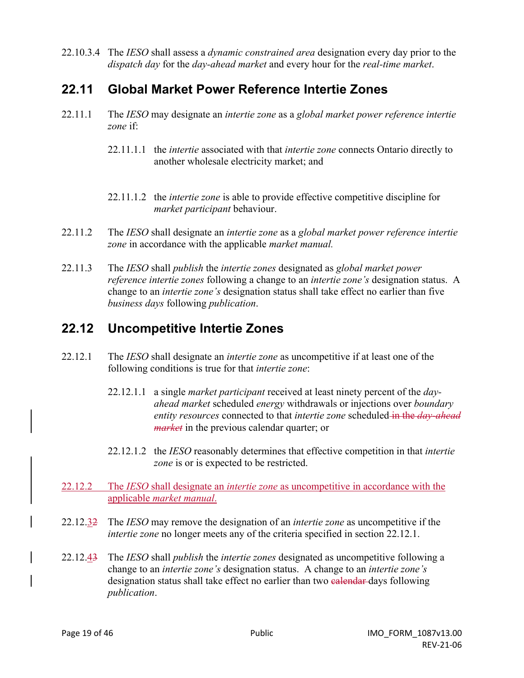22.10.3.4 The *IESO* shall assess a *dynamic constrained area* designation every day prior to the *dispatch day* for the *day-ahead market* and every hour for the *real-time market*.

### **22.11 Global Market Power Reference Intertie Zones**

- 22.11.1 The *IESO* may designate an *intertie zone* as a *global market power reference intertie zone* if:
	- 22.11.1.1 the *intertie* associated with that *intertie zone* connects Ontario directly to another wholesale electricity market; and
	- 22.11.1.2 the *intertie zone* is able to provide effective competitive discipline for *market participant* behaviour.
- 22.11.2 The *IESO* shall designate an *intertie zone* as a *global market power reference intertie zone* in accordance with the applicable *market manual.*
- 22.11.3 The *IESO* shall *publish* the *intertie zones* designated as *global market power reference intertie zones* following a change to an *intertie zone's* designation status. A change to an *intertie zone's* designation status shall take effect no earlier than five *business days* following *publication*.

### **22.12 Uncompetitive Intertie Zones**

- 22.12.1 The *IESO* shall designate an *intertie zone* as uncompetitive if at least one of the following conditions is true for that *intertie zone*:
	- 22.12.1.1 a single *market participant* received at least ninety percent of the *dayahead market* scheduled *energy* withdrawals or injections over *boundary entity resources* connected to that *intertie zone* scheduled in the *day-ahead market* in the previous calendar quarter; or
	- 22.12.1.2 the *IESO* reasonably determines that effective competition in that *intertie zone* is or is expected to be restricted.
- 22.12.2 The *IESO* shall designate an *intertie zone* as uncompetitive in accordance with the applicable *market manual*.
- 22.12.32 The *IESO* may remove the designation of an *intertie zone* as uncompetitive if the *intertie zone* no longer meets any of the criteria specified in section 22.12.1.
- 22.12.43 The *IESO* shall *publish* the *intertie zones* designated as uncompetitive following a change to an *intertie zone's* designation status. A change to an *intertie zone's* designation status shall take effect no earlier than two ealendar-days following *publication*.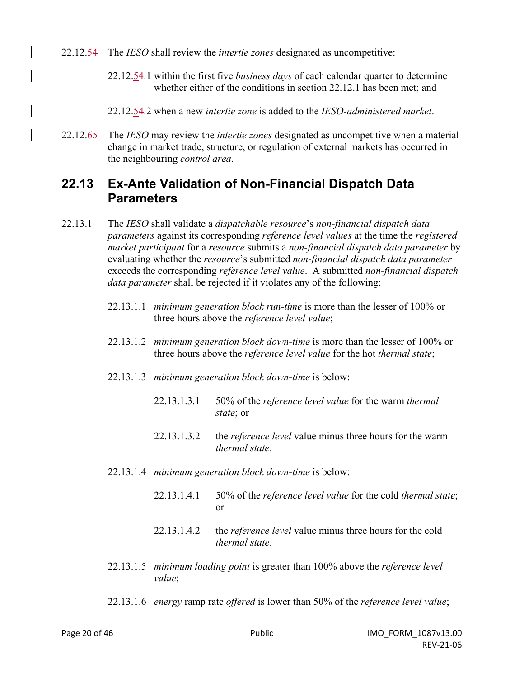- 22.12.54 The *IESO* shall review the *intertie zones* designated as uncompetitive:
	- 22.12.54.1 within the first five *business days* of each calendar quarter to determine whether either of the conditions in section 22.12.1 has been met; and
	- 22.12.54.2 when a new *intertie zone* is added to the *IESO-administered market*.
- 22.12.65 The *IESO* may review the *intertie zones* designated as uncompetitive when a material change in market trade, structure, or regulation of external markets has occurred in the neighbouring *control area*.

### **22.13 Ex-Ante Validation of Non-Financial Dispatch Data Parameters**

- 22.13.1 The *IESO* shall validate a *dispatchable resource*'s *non-financial dispatch data parameters* against its corresponding *reference level values* at the time the *registered market participant* for a *resource* submits a *non-financial dispatch data parameter* by evaluating whether the *resource*'s submitted *non-financial dispatch data parameter* exceeds the corresponding *reference level value*. A submitted *non-financial dispatch data parameter* shall be rejected if it violates any of the following:
	- 22.13.1.1 *minimum generation block run-time* is more than the lesser of 100% or three hours above the *reference level value*;
	- 22.13.1.2 *minimum generation block down-time* is more than the lesser of 100% or three hours above the *reference level value* for the hot *thermal state*;
	- 22.13.1.3 *minimum generation block down-time* is below:
		- 22.13.1.3.1 50% of the *reference level value* for the warm *thermal state*; or
		- 22.13.1.3.2 the *reference level* value minus three hours for the warm *thermal state*.
	- 22.13.1.4 *minimum generation block down-time* is below:
		- 22.13.1.4.1 50% of the *reference level value* for the cold *thermal state*; or
		- 22.13.1.4.2 the *reference level* value minus three hours for the cold *thermal state*.
	- 22.13.1.5 *minimum loading point* is greater than 100% above the *reference level value*;
	- 22.13.1.6 *energy* ramp rate *offered* is lower than 50% of the *reference level value*;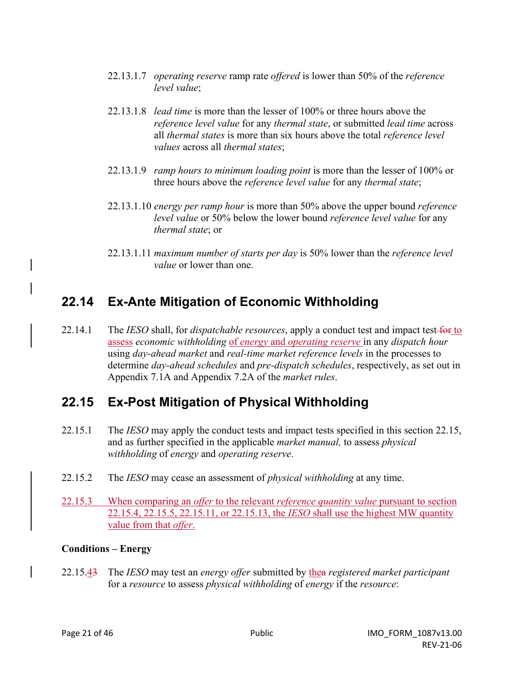- 22.13.1.7 *operating reserve* ramp rate *offered* is lower than 50% of the *reference level value*;
- 22.13.1.8 *lead time* is more than the lesser of 100% or three hours above the *reference level value* for any *thermal state*, or submitted *lead time* across all *thermal states* is more than six hours above the total *reference level values* across all *thermal states*;
- 22.13.1.9 *ramp hours to minimum loading point* is more than the lesser of 100% or three hours above the *reference level value* for any *thermal state*;
- 22.13.1.10 *energy per ramp hour* is more than 50% above the upper bound *reference level value* or 50% below the lower bound *reference level value* for any *thermal state*; or
- 22.13.1.11 *maximum number of starts per day* is 50% lower than the *reference level value* or lower than one.

### **22.14 Ex-Ante Mitigation of Economic Withholding**

22.14.1 The *IESO* shall, for *dispatchable resources*, apply a conduct test and impact test for to assess *economic withholding* of *energy* and *operating reserve* in any *dispatch hour* using *day-ahead market* and *real-time market reference levels* in the processes to determine *day-ahead schedules* and *pre-dispatch schedules*, respectively, as set out in Appendix 7.1A and Appendix 7.2A of the *market rules*.

### **22.15 Ex-Post Mitigation of Physical Withholding**

- 22.15.1 The *IESO* may apply the conduct tests and impact tests specified in this section 22.15, and as further specified in the applicable *market manual,* to assess *physical withholding* of *energy* and *operating reserve*.
- 22.15.2 The *IESO* may cease an assessment of *physical withholding* at any time.
- 22.15.3 When comparing an *offer* to the relevant *reference quantity value* pursuant to section 22.15.4, 22.15.5, 22.15.11, or 22.15.13, the *IESO* shall use the highest MW quantity value from that *offer*.

#### **Conditions – Energy**

22.15.43 The *IESO* may test an *energy offer* submitted by thea *registered market participant* for a *resource* to assess *physical withholding* of *energy* if the *resource*: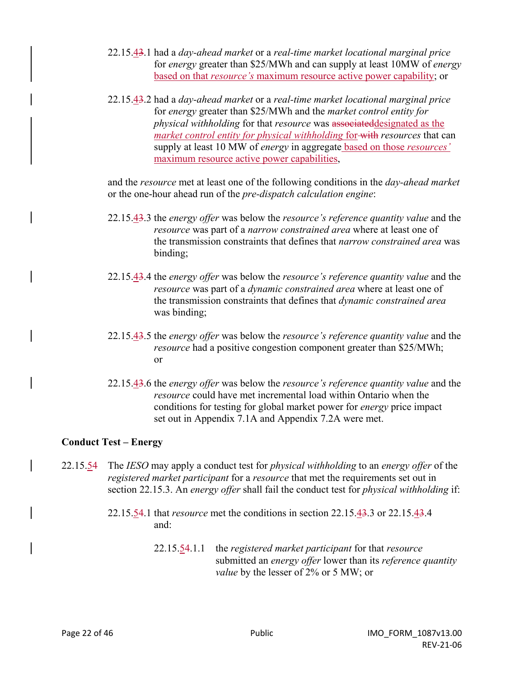- 22.15.43.1 had a *day-ahead market* or a *real-time market locational marginal price* for *energy* greater than \$25/MWh and can supply at least 10MW of *energy* based on that *resource's* maximum resource active power capability; or
- 22.15.43.2 had a *day-ahead market* or a *real-time market locational marginal price* for *energy* greater than \$25/MWh and the *market control entity for physical withholding* for that *resource* was associateddesignated as the *market control entity for physical withholding* for with *resources* that can supply at least 10 MW of *energy* in aggregate based on those *resources'* maximum resource active power capabilities,

and the *resource* met at least one of the following conditions in the *day-ahead market* or the one-hour ahead run of the *pre-dispatch calculation engine*:

- 22.15.43.3 the *energy offer* was below the *resource's reference quantity value* and the *resource* was part of a *narrow constrained area* where at least one of the transmission constraints that defines that *narrow constrained area* was binding;
- 22.15.43.4 the *energy offer* was below the *resource's reference quantity value* and the *resource* was part of a *dynamic constrained area* where at least one of the transmission constraints that defines that *dynamic constrained area* was binding;
- 22.15.43.5 the *energy offer* was below the *resource's reference quantity value* and the *resource* had a positive congestion component greater than \$25/MWh; or
- 22.15.43.6 the *energy offer* was below the *resource's reference quantity value* and the *resource* could have met incremental load within Ontario when the conditions for testing for global market power for *energy* price impact set out in Appendix 7.1A and Appendix 7.2A were met.

#### **Conduct Test – Energy**

- 22.15.54 The *IESO* may apply a conduct test for *physical withholding* to an *energy offer* of the *registered market participant* for a *resource* that met the requirements set out in section 22.15.3. An *energy offer* shall fail the conduct test for *physical withholding* if:
	- 22.15.54.1 that *resource* met the conditions in section 22.15.43.3 or 22.15.43.4 and:
		- 22.15.54.1.1 the *registered market participant* for that *resource*  submitted an *energy offer* lower than its *reference quantity value* by the lesser of 2% or 5 MW; or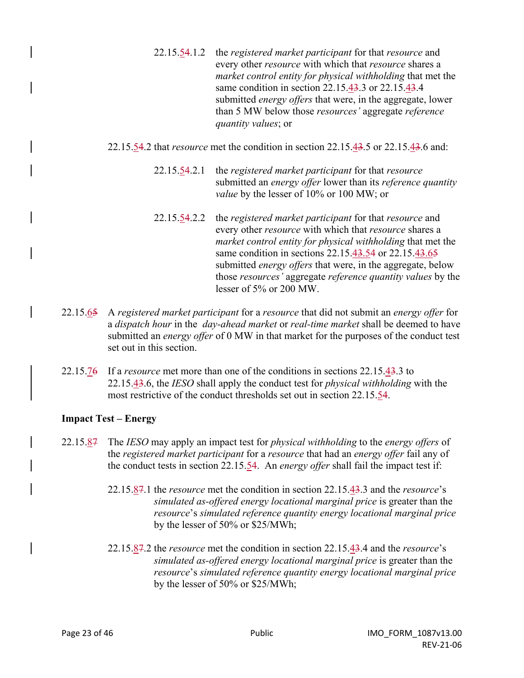- 22.15.54.1.2 the *registered market participant* for that *resource* and every other *resource* with which that *resource* shares a *market control entity for physical withholding* that met the same condition in section 22.15.43.3 or 22.15.43.4 submitted *energy offers* that were, in the aggregate, lower than 5 MW below those *resources'* aggregate *reference quantity values*; or
- 22.15.54.2 that *resource* met the condition in section 22.15.43.5 or 22.15.43.6 and:
	- 22.15.54.2.1 the *registered market participant* for that *resource* submitted an *energy offer* lower than its *reference quantity value* by the lesser of 10% or 100 MW; or
	- 22.15.54.2.2 the *registered market participant* for that *resource* and every other *resource* with which that *resource* shares a *market control entity for physical withholding* that met the same condition in sections 22.15.43.54 or 22.15.43.65 submitted *energy offers* that were, in the aggregate, below those *resources'* aggregate *reference quantity values* by the lesser of 5% or 200 MW.
- 22.15.65 A *registered market participant* for a *resource* that did not submit an *energy offer* for a *dispatch hour* in the *day-ahead market* or *real-time market* shall be deemed to have submitted an *energy offer* of 0 MW in that market for the purposes of the conduct test set out in this section.
- 22.15.76 If a *resource* met more than one of the conditions in sections 22.15.43.3 to 22.15.43.6, the *IESO* shall apply the conduct test for *physical withholding* with the most restrictive of the conduct thresholds set out in section 22.15.54.

#### **Impact Test – Energy**

- 22.15.87 The *IESO* may apply an impact test for *physical withholding* to the *energy offers* of the *registered market participant* for a *resource* that had an *energy offer* fail any of the conduct tests in section 22.15.54. An *energy offer* shall fail the impact test if:
	- 22.15.87.1 the *resource* met the condition in section 22.15.43.3 and the *resource*'s *simulated as-offered energy locational marginal price* is greater than the *resource*'s *simulated reference quantity energy locational marginal price* by the lesser of 50% or \$25/MWh;
	- 22.15.87.2 the *resource* met the condition in section 22.15.43.4 and the *resource*'s *simulated as-offered energy locational marginal price* is greater than the *resource*'s *simulated reference quantity energy locational marginal price* by the lesser of 50% or \$25/MWh;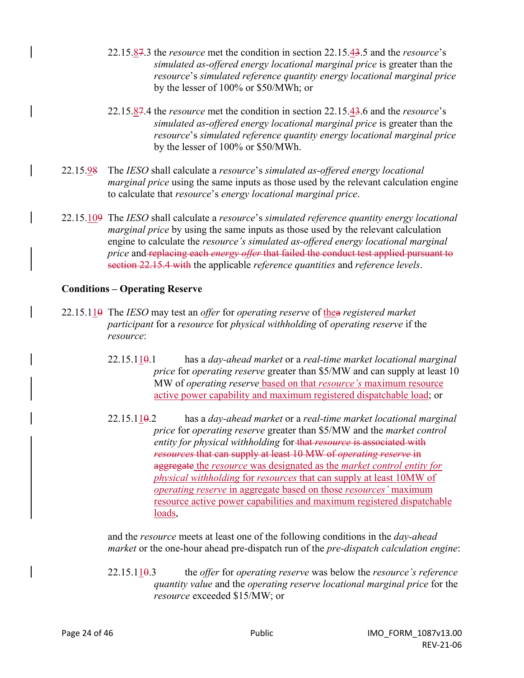- 22.15.87.3 the *resource* met the condition in section 22.15.43.5 and the *resource*'s *simulated as-offered energy locational marginal price* is greater than the *resource*'s *simulated reference quantity energy locational marginal price* by the lesser of 100% or \$50/MWh; or
- 22.15.87.4 the *resource* met the condition in section 22.15.43.6 and the *resource*'s *simulated as-offered energy locational marginal price* is greater than the *resource*'s *simulated reference quantity energy locational marginal price* by the lesser of 100% or \$50/MWh.
- 22.15.98 The *IESO* shall calculate a *resource*'s *simulated as-offered energy locational marginal price* using the same inputs as those used by the relevant calculation engine to calculate that *resource*'s *energy locational marginal price*.
- 22.15.109 The *IESO* shall calculate a *resource*'s *simulated reference quantity energy locational marginal price* by using the same inputs as those used by the relevant calculation engine to calculate the *resource's simulated as-offered energy locational marginal price* and replacing each *energy offer* that failed the conduct test applied pursuant to section 22.15.4 with the applicable *reference quantities* and *reference levels*.

#### **Conditions – Operating Reserve**

- 22.15.110 The *IESO* may test an *offer* for *operating reserve* of thea *registered market participant* for a *resource* for *physical withholding* of *operating reserve* if the *resource*:
	- 22.15.110.1 has a *day-ahead market* or a *real-time market locational marginal price* for *operating reserve* greater than \$5/MW and can supply at least 10 MW of *operating reserve* based on that *resource's* maximum resource active power capability and maximum registered dispatchable load; or
	- 22.15.110.2 has a *day-ahead market* or a *real-time market locational marginal price* for *operating reserve* greater than \$5/MW and the *market control entity for physical withholding* for that *resource* is associated with *resources* that can supply at least 10 MW of *operating reserve* in aggregate the *resource* was designated as the *market control entity for physical withholding* for *resources* that can supply at least 10MW of *operating reserve* in aggregate based on those *resources'* maximum resource active power capabilities and maximum registered dispatchable loads,

and the *resource* meets at least one of the following conditions in the *day-ahead market* or the one-hour ahead pre-dispatch run of the *pre-dispatch calculation engine*:

22.15.110.3 the *offer* for *operating reserve* was below the *resource's reference quantity value* and the *operating reserve locational marginal price* for the *resource* exceeded \$15/MW; or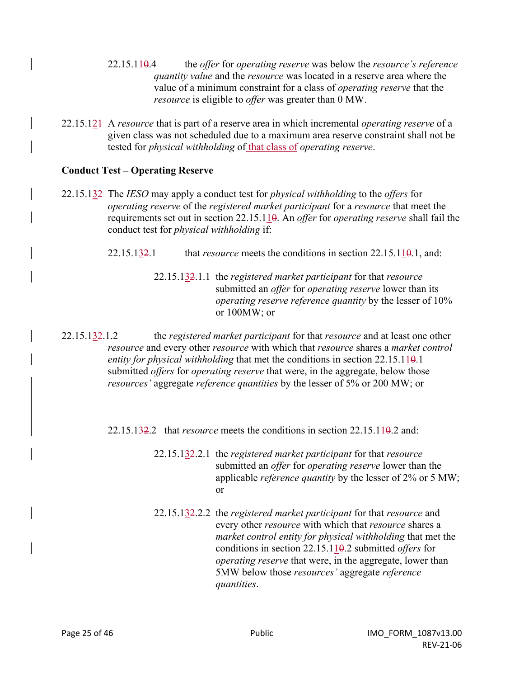- 22.15.110.4 the *offer* for *operating reserve* was below the *resource's reference quantity value* and the *resource* was located in a reserve area where the value of a minimum constraint for a class of *operating reserve* that the *resource* is eligible to *offer* was greater than 0 MW.
- 22.15.121 A *resource* that is part of a reserve area in which incremental *operating reserve* of a given class was not scheduled due to a maximum area reserve constraint shall not be tested for *physical withholding* of that class of *operating reserve*.

#### **Conduct Test – Operating Reserve**

- 22.15.132 The *IESO* may apply a conduct test for *physical withholding* to the *offers* for *operating reserve* of the *registered market participant* for a *resource* that meet the requirements set out in section 22.15.110. An *offer* for *operating reserve* shall fail the conduct test for *physical withholding* if:
	- 22.15.1 $\frac{32}{2}$ .1 that *resource* meets the conditions in section 22.15.1 $\frac{10}{9}$ .1, and:
		- 22.15.132.1.1 the *registered market participant* for that *resource* submitted an *offer* for *operating reserve* lower than its *operating reserve reference quantity* by the lesser of 10% or 100MW; or
- 22.15.132.1.2 the *registered market participant* for that *resource* and at least one other *resource* and every other *resource* with which that *resource* shares a *market control entity for physical withholding* that met the conditions in section 22.15.11<del>0</del>.1 submitted *offers* for *operating reserve* that were, in the aggregate, below those *resources'* aggregate *reference quantities* by the lesser of 5% or 200 MW; or

22.15.132.2 that *resource* meets the conditions in section 22.15.110.2 and:

- 22.15.132.2.1 the *registered market participant* for that *resource* submitted an *offer* for *operating reserve* lower than the applicable *reference quantity* by the lesser of 2% or 5 MW; or
- 22.15.132.2.2 the *registered market participant* for that *resource* and every other *resource* with which that *resource* shares a *market control entity for physical withholding* that met the conditions in section 22.15.110.2 submitted *offers* for *operating reserve* that were, in the aggregate, lower than 5MW below those *resources'* aggregate *reference quantities*.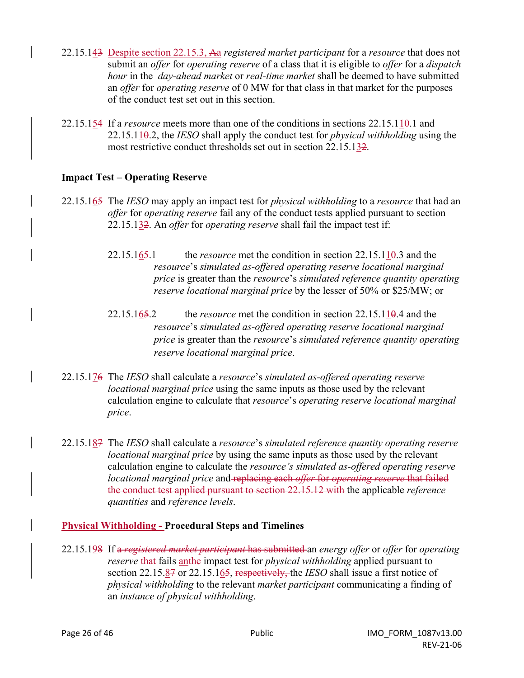- 22.15.143 Despite section 22.15.3, Aa *registered market participant* for a *resource* that does not submit an *offer* for *operating reserve* of a class that it is eligible to *offer* for a *dispatch hour* in the *day-ahead market* or *real-time market* shall be deemed to have submitted an *offer* for *operating reserve* of 0 MW for that class in that market for the purposes of the conduct test set out in this section.
- 22.15.154 If a *resource* meets more than one of the conditions in sections 22.15.110.1 and 22.15.110.2, the *IESO* shall apply the conduct test for *physical withholding* using the most restrictive conduct thresholds set out in section 22.15.132.

#### **Impact Test – Operating Reserve**

- 22.15.165 The *IESO* may apply an impact test for *physical withholding* to a *resource* that had an *offer* for *operating reserve* fail any of the conduct tests applied pursuant to section 22.15.132. An *offer* for *operating reserve* shall fail the impact test if:
	- 22.15.165.1 the *resource* met the condition in section 22.15.110.3 and the *resource*'s *simulated as-offered operating reserve locational marginal price* is greater than the *resource*'s *simulated reference quantity operating reserve locational marginal price* by the lesser of 50% or \$25/MW; or
	- 22.15.165.2 the *resource* met the condition in section 22.15.110.4 and the *resource*'s *simulated as-offered operating reserve locational marginal price* is greater than the *resource*'s *simulated reference quantity operating reserve locational marginal price*.
- 22.15.176 The *IESO* shall calculate a *resource*'s *simulated as-offered operating reserve locational marginal price* using the same inputs as those used by the relevant calculation engine to calculate that *resource*'s *operating reserve locational marginal price*.
- 22.15.187 The *IESO* shall calculate a *resource*'s *simulated reference quantity operating reserve locational marginal price* by using the same inputs as those used by the relevant calculation engine to calculate the *resource's simulated as-offered operating reserve locational marginal price* and replacing each *offer* for *operating reserve* that failed the conduct test applied pursuant to section 22.15.12 with the applicable *reference quantities* and *reference levels*.

#### **Physical Withholding - Procedural Steps and Timelines**

22.15.198 If a *registered market participant* has submitted an *energy offer* or *offer* for *operating reserve* that fails anthe impact test for *physical withholding* applied pursuant to section 22.15.87 or 22.15.165, respectively, the *IESO* shall issue a first notice of *physical withholding* to the relevant *market participant* communicating a finding of an *instance of physical withholding*.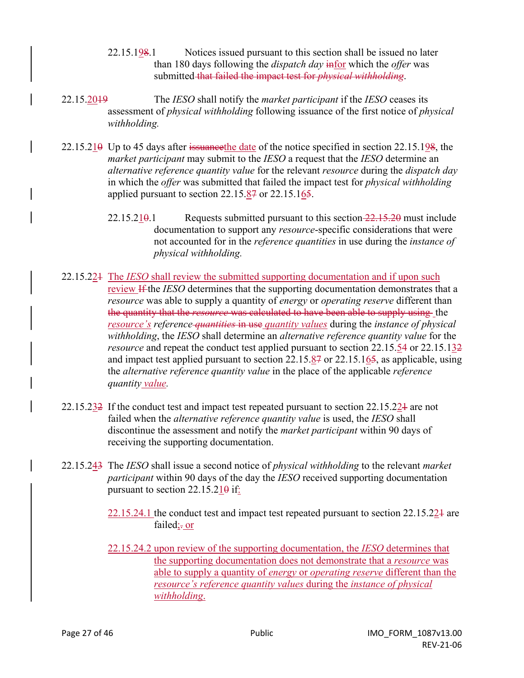- 22.15.198.1 Notices issued pursuant to this section shall be issued no later than 180 days following the *dispatch day* infor which the *offer* was submitted that failed the impact test for *physical withholding*.
- 22.15.2019 The *IESO* shall notify the *market participant* if the *IESO* ceases its assessment of *physical withholding* following issuance of the first notice of *physical withholding.*
- $22.15.210$  Up to 45 days after issuance the date of the notice specified in section 22.15.198, the *market participant* may submit to the *IESO* a request that the *IESO* determine an *alternative reference quantity value* for the relevant *resource* during the *dispatch day*  in which the *offer* was submitted that failed the impact test for *physical withholding*  applied pursuant to section 22.15.87 or 22.15.165.
	- $22.15.21\theta$ .1 Requests submitted pursuant to this section  $22.15.20$  must include documentation to support any *resource*-specific considerations that were not accounted for in the *reference quantities* in use during the *instance of physical withholding.*
- 22.15.221 The *IESO* shall review the submitted supporting documentation and if upon such review If the *IESO* determines that the supporting documentation demonstrates that a *resource* was able to supply a quantity of *energy* or *operating reserve* different than the quantity that the *resource* was calculated to have been able to supply using the *resource's reference quantities* in use *quantity values* during the *instance of physical withholding*, the *IESO* shall determine an *alternative reference quantity value* for the *resource* and repeat the conduct test applied pursuant to section 22.15.54 or 22.15.132 and impact test applied pursuant to section 22.15.87 or 22.15.165, as applicable, using the *alternative reference quantity value* in the place of the applicable *reference quantity value.*
- 22.15.232 If the conduct test and impact test repeated pursuant to section 22.15.221 are not failed when the *alternative reference quantity value* is used, the *IESO* shall discontinue the assessment and notify the *market participant* within 90 days of receiving the supporting documentation.
- 22.15.243 The *IESO* shall issue a second notice of *physical withholding* to the relevant *market participant* within 90 days of the day the *IESO* received supporting documentation pursuant to section  $22.15.210$  if:
	- 22.15.24.1 the conduct test and impact test repeated pursuant to section 22.15.221 are failed; or
	- 22.15.24.2 upon review of the supporting documentation, the *IESO* determines that the supporting documentation does not demonstrate that a *resource* was able to supply a quantity of *energy* or *operating reserve* different than the *resource's reference quantity values* during the *instance of physical withholding*.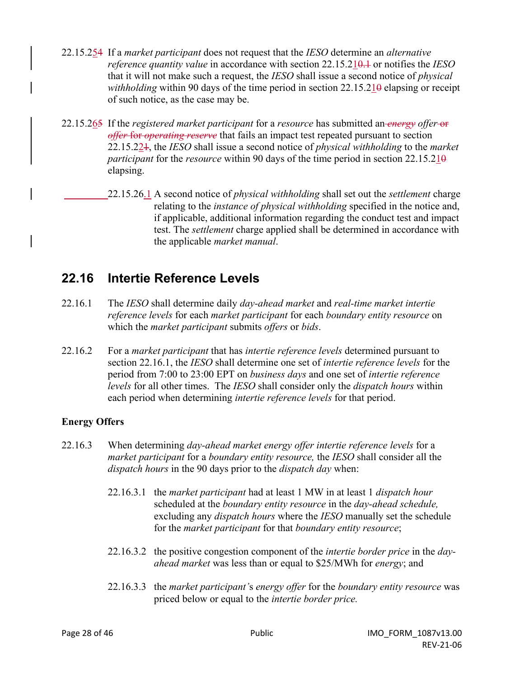- 22.15.254 If a *market participant* does not request that the *IESO* determine an *alternative reference quantity value* in accordance with section 22.15.210.1 or notifies the *IESO*  that it will not make such a request, the *IESO* shall issue a second notice of *physical withholding* within 90 days of the time period in section 22.15.210 elapsing or receipt of such notice, as the case may be.
- 22.15.265 If the *registered market participant* for a *resource* has submitted an *energy offer* or *offer* for *operating reserve* that fails an impact test repeated pursuant to section 22.15.221, the *IESO* shall issue a second notice of *physical withholding* to the *market participant* for the *resource* within 90 days of the time period in section 22.15.210 elapsing.
	- 22.15.26.1 A second notice of *physical withholding* shall set out the *settlement* charge relating to the *instance of physical withholding* specified in the notice and, if applicable, additional information regarding the conduct test and impact test. The *settlement* charge applied shall be determined in accordance with the applicable *market manual*.

### **22.16 Intertie Reference Levels**

- 22.16.1 The *IESO* shall determine daily *day-ahead market* and *real-time market intertie reference levels* for each *market participant* for each *boundary entity resource* on which the *market participant* submits *offers* or *bids*.
- 22.16.2 For a *market participant* that has *intertie reference levels* determined pursuant to section 22.16.1, the *IESO* shall determine one set of *intertie reference levels* for the period from 7:00 to 23:00 EPT on *business days* and one set of *intertie reference levels* for all other times. The *IESO* shall consider only the *dispatch hours* within each period when determining *intertie reference levels* for that period.

### **Energy Offers**

- 22.16.3 When determining *day-ahead market energy offer intertie reference levels* for a *market participant* for a *boundary entity resource,* the *IESO* shall consider all the *dispatch hours* in the 90 days prior to the *dispatch day* when:
	- 22.16.3.1 the *market participant* had at least 1 MW in at least 1 *dispatch hour* scheduled at the *boundary entity resource* in the *day-ahead schedule,*  excluding any *dispatch hours* where the *IESO* manually set the schedule for the *market participant* for that *boundary entity resource*;
	- 22.16.3.2 the positive congestion component of the *intertie border price* in the *day ahead market* was less than or equal to \$25/MWh for *energy*; and
	- 22.16.3.3 the *market participant'*s *energy offer* for the *boundary entity resource* was priced below or equal to the *intertie border price.*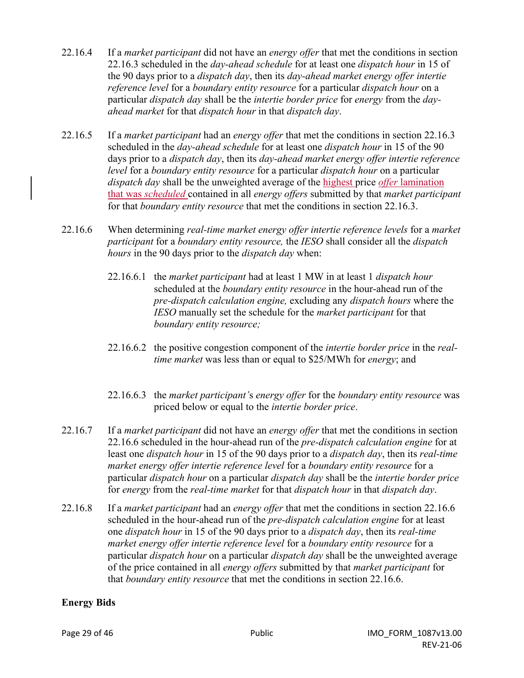- 22.16.4 If a *market participant* did not have an *energy offer* that met the conditions in section 22.16.3 scheduled in the *day-ahead schedule* for at least one *dispatch hour* in 15 of the 90 days prior to a *dispatch day*, then its *day-ahead market energy offer intertie reference level* for a *boundary entity resource* for a particular *dispatch hour* on a particular *dispatch day* shall be the *intertie border price* for *energy* from the *dayahead market* for that *dispatch hour* in that *dispatch day*.
- 22.16.5 If a *market participant* had an *energy offer* that met the conditions in section 22.16.3 scheduled in the *day-ahead schedule* for at least one *dispatch hour* in 15 of the 90 days prior to a *dispatch day*, then its *day-ahead market energy offer intertie reference level* for a *boundary entity resource* for a particular *dispatch hour* on a particular *dispatch day* shall be the unweighted average of the highest price *offer* lamination that was *scheduled* contained in all *energy offers* submitted by that *market participant* for that *boundary entity resource* that met the conditions in section 22.16.3.
- 22.16.6 When determining *real-time market energy offer intertie reference levels* for a *market participant* for a *boundary entity resource,* the *IESO* shall consider all the *dispatch hours* in the 90 days prior to the *dispatch day* when:
	- 22.16.6.1 the *market participant* had at least 1 MW in at least 1 *dispatch hour* scheduled at the *boundary entity resource* in the hour-ahead run of the *pre-dispatch calculation engine,* excluding any *dispatch hours* where the *IESO* manually set the schedule for the *market participant* for that *boundary entity resource;*
	- 22.16.6.2 the positive congestion component of the *intertie border price* in the *realtime market* was less than or equal to \$25/MWh for *energy*; and
	- 22.16.6.3 the *market participant'*s *energy offer* for the *boundary entity resource* was priced below or equal to the *intertie border price*.
- 22.16.7 If a *market participant* did not have an *energy offer* that met the conditions in section 22.16.6 scheduled in the hour-ahead run of the *pre-dispatch calculation engine* for at least one *dispatch hour* in 15 of the 90 days prior to a *dispatch day*, then its *real-time market energy offer intertie reference level* for a *boundary entity resource* for a particular *dispatch hour* on a particular *dispatch day* shall be the *intertie border price* for *energy* from the *real-time market* for that *dispatch hour* in that *dispatch day*.
- 22.16.8 If a *market participant* had an *energy offer* that met the conditions in section 22.16.6 scheduled in the hour-ahead run of the *pre-dispatch calculation engine* for at least one *dispatch hour* in 15 of the 90 days prior to a *dispatch day*, then its *real-time market energy offer intertie reference level* for a *boundary entity resource* for a particular *dispatch hour* on a particular *dispatch day* shall be the unweighted average of the price contained in all *energy offers* submitted by that *market participant* for that *boundary entity resource* that met the conditions in section 22.16.6.

#### **Energy Bids**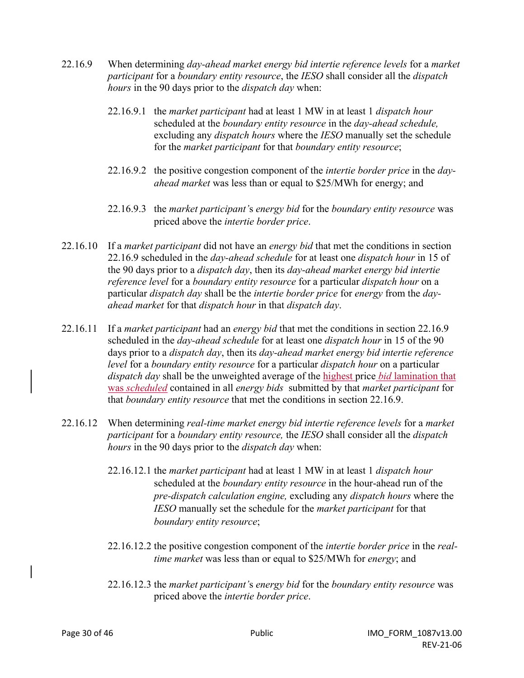- 22.16.9 When determining *day-ahead market energy bid intertie reference levels* for a *market participant* for a *boundary entity resource*, the *IESO* shall consider all the *dispatch hours* in the 90 days prior to the *dispatch day* when:
	- 22.16.9.1 the *market participant* had at least 1 MW in at least 1 *dispatch hour* scheduled at the *boundary entity resource* in the *day-ahead schedule,*  excluding any *dispatch hours* where the *IESO* manually set the schedule for the *market participant* for that *boundary entity resource*;
	- 22.16.9.2 the positive congestion component of the *intertie border price* in the *day ahead market* was less than or equal to \$25/MWh for energy; and
	- 22.16.9.3 the *market participant'*s *energy bid* for the *boundary entity resource* was priced above the *intertie border price*.
- 22.16.10 If a *market participant* did not have an *energy bid* that met the conditions in section 22.16.9 scheduled in the *day-ahead schedule* for at least one *dispatch hour* in 15 of the 90 days prior to a *dispatch day*, then its *day-ahead market energy bid intertie reference level* for a *boundary entity resource* for a particular *dispatch hour* on a particular *dispatch day* shall be the *intertie border price* for *energy* from the *dayahead market* for that *dispatch hour* in that *dispatch day*.
- 22.16.11 If a *market participant* had an *energy bid* that met the conditions in section 22.16.9 scheduled in the *day-ahead schedule* for at least one *dispatch hour* in 15 of the 90 days prior to a *dispatch day*, then its *day-ahead market energy bid intertie reference level* for a *boundary entity resource* for a particular *dispatch hour* on a particular *dispatch day* shall be the unweighted average of the highest price *bid* lamination that was *scheduled* contained in all *energy bids* submitted by that *market participant* for that *boundary entity resource* that met the conditions in section 22.16.9.
- 22.16.12 When determining *real-time market energy bid intertie reference levels* for a *market participant* for a *boundary entity resource,* the *IESO* shall consider all the *dispatch hours* in the 90 days prior to the *dispatch day* when:
	- 22.16.12.1 the *market participant* had at least 1 MW in at least 1 *dispatch hour* scheduled at the *boundary entity resource* in the hour-ahead run of the *pre-dispatch calculation engine,* excluding any *dispatch hours* where the *IESO* manually set the schedule for the *market participant* for that *boundary entity resource*;
	- 22.16.12.2 the positive congestion component of the *intertie border price* in the *real time market* was less than or equal to \$25/MWh for *energy*; and
	- 22.16.12.3 the *market participant'*s *energy bid* for the *boundary entity resource* was priced above the *intertie border price*.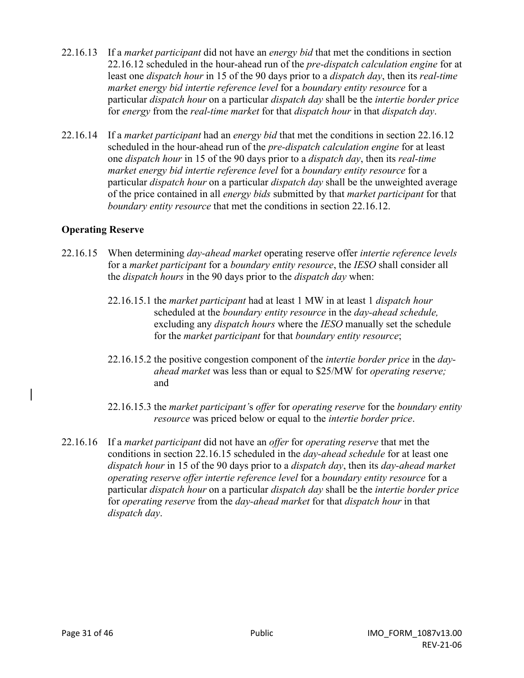- 22.16.13 If a *market participant* did not have an *energy bid* that met the conditions in section 22.16.12 scheduled in the hour-ahead run of the *pre-dispatch calculation engine* for at least one *dispatch hour* in 15 of the 90 days prior to a *dispatch day*, then its *real-time market energy bid intertie reference level* for a *boundary entity resource* for a particular *dispatch hour* on a particular *dispatch day* shall be the *intertie border price* for *energy* from the *real-time market* for that *dispatch hour* in that *dispatch day*.
- 22.16.14 If a *market participant* had an *energy bid* that met the conditions in section 22.16.12 scheduled in the hour-ahead run of the *pre-dispatch calculation engine* for at least one *dispatch hour* in 15 of the 90 days prior to a *dispatch day*, then its *real-time market energy bid intertie reference level* for a *boundary entity resource* for a particular *dispatch hour* on a particular *dispatch day* shall be the unweighted average of the price contained in all *energy bids* submitted by that *market participant* for that *boundary entity resource* that met the conditions in section 22.16.12.

### **Operating Reserve**

- 22.16.15 When determining *day-ahead market* operating reserve offer *intertie reference levels* for a *market participant* for a *boundary entity resource*, the *IESO* shall consider all the *dispatch hours* in the 90 days prior to the *dispatch day* when:
	- 22.16.15.1 the *market participant* had at least 1 MW in at least 1 *dispatch hour* scheduled at the *boundary entity resource* in the *day-ahead schedule,*  excluding any *dispatch hours* where the *IESO* manually set the schedule for the *market participant* for that *boundary entity resource*;
	- 22.16.15.2 the positive congestion component of the *intertie border price* in the *dayahead market* was less than or equal to \$25/MW for *operating reserve;* and
	- 22.16.15.3 the *market participant'*s *offer* for *operating reserve* for the *boundary entity resource* was priced below or equal to the *intertie border price*.
- 22.16.16 If a *market participant* did not have an *offer* for *operating reserve* that met the conditions in section 22.16.15 scheduled in the *day-ahead schedule* for at least one *dispatch hour* in 15 of the 90 days prior to a *dispatch day*, then its *day-ahead market operating reserve offer intertie reference level* for a *boundary entity resource* for a particular *dispatch hour* on a particular *dispatch day* shall be the *intertie border price* for *operating reserve* from the *day-ahead market* for that *dispatch hour* in that *dispatch day*.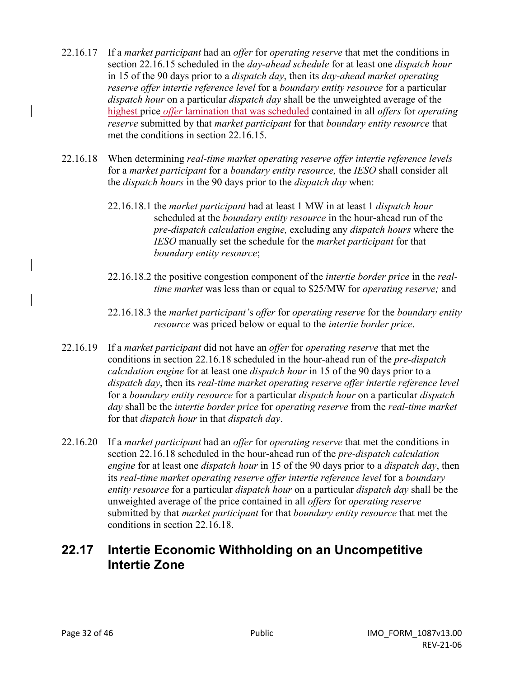- 22.16.17 If a *market participant* had an *offer* for *operating reserve* that met the conditions in section 22.16.15 scheduled in the *day-ahead schedule* for at least one *dispatch hour* in 15 of the 90 days prior to a *dispatch day*, then its *day-ahead market operating reserve offer intertie reference level* for a *boundary entity resource* for a particular *dispatch hour* on a particular *dispatch day* shall be the unweighted average of the highest price *offer* lamination that was scheduled contained in all *offers* for *operating reserve* submitted by that *market participant* for that *boundary entity resource* that met the conditions in section 22.16.15.
- 22.16.18 When determining *real-time market operating reserve offer intertie reference levels*  for a *market participant* for a *boundary entity resource,* the *IESO* shall consider all the *dispatch hours* in the 90 days prior to the *dispatch day* when:
	- 22.16.18.1 the *market participant* had at least 1 MW in at least 1 *dispatch hour* scheduled at the *boundary entity resource* in the hour-ahead run of the *pre-dispatch calculation engine,* excluding any *dispatch hours* where the *IESO* manually set the schedule for the *market participant* for that *boundary entity resource*;
	- 22.16.18.2 the positive congestion component of the *intertie border price* in the *real time market* was less than or equal to \$25/MW for *operating reserve;* and
	- 22.16.18.3 the *market participant'*s *offer* for *operating reserve* for the *boundary entity resource* was priced below or equal to the *intertie border price*.
- 22.16.19 If a *market participant* did not have an *offer* for *operating reserve* that met the conditions in section 22.16.18 scheduled in the hour-ahead run of the *pre-dispatch calculation engine* for at least one *dispatch hour* in 15 of the 90 days prior to a *dispatch day*, then its *real-time market operating reserve offer intertie reference level* for a *boundary entity resource* for a particular *dispatch hour* on a particular *dispatch day* shall be the *intertie border price* for *operating reserve* from the *real-time market* for that *dispatch hour* in that *dispatch day*.
- 22.16.20 If a *market participant* had an *offer* for *operating reserve* that met the conditions in section 22.16.18 scheduled in the hour-ahead run of the *pre-dispatch calculation engine* for at least one *dispatch hour* in 15 of the 90 days prior to a *dispatch day*, then its *real-time market operating reserve offer intertie reference level* for a *boundary entity resource* for a particular *dispatch hour* on a particular *dispatch day* shall be the unweighted average of the price contained in all *offers* for *operating reserve*  submitted by that *market participant* for that *boundary entity resource* that met the conditions in section 22.16.18.

### **22.17 Intertie Economic Withholding on an Uncompetitive Intertie Zone**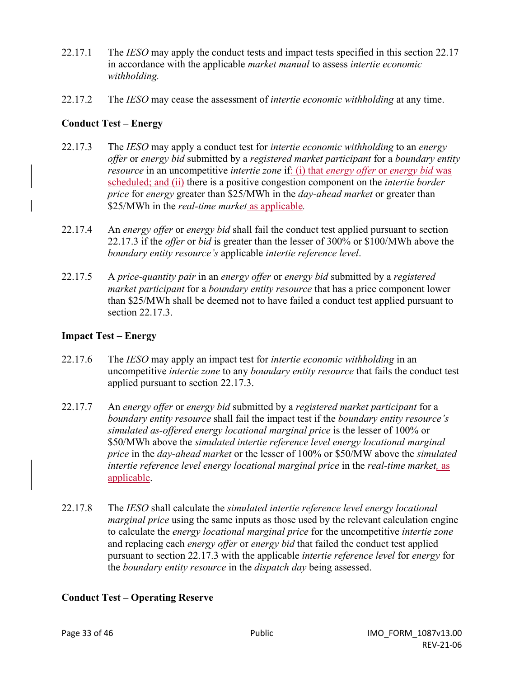- 22.17.1 The *IESO* may apply the conduct tests and impact tests specified in this section 22.17 in accordance with the applicable *market manual* to assess *intertie economic withholding.*
- 22.17.2 The *IESO* may cease the assessment of *intertie economic withholding* at any time.

### **Conduct Test – Energy**

- 22.17.3 The *IESO* may apply a conduct test for *intertie economic withholding* to an *energy offer* or *energy bid* submitted by a *registered market participant* for a *boundary entity resource* in an uncompetitive *intertie zone* if: (i) that *energy offer* or *energy bid* was scheduled; and (ii) there is a positive congestion component on the *intertie border price* for *energy* greater than \$25/MWh in the *day-ahead market* or greater than \$25/MWh in the *real-time market* as applicable*.*
- 22.17.4 An *energy offer* or *energy bid* shall fail the conduct test applied pursuant to section 22.17.3 if the *offer* or *bid* is greater than the lesser of 300% or \$100/MWh above the *boundary entity resource's* applicable *intertie reference level*.
- 22.17.5 A *price-quantity pair* in an *energy offer* or *energy bid* submitted by a *registered market participant* for a *boundary entity resource* that has a price component lower than \$25/MWh shall be deemed not to have failed a conduct test applied pursuant to section 22.17.3.

### **Impact Test – Energy**

- 22.17.6 The *IESO* may apply an impact test for *intertie economic withholding* in an uncompetitive *intertie zone* to any *boundary entity resource* that fails the conduct test applied pursuant to section 22.17.3.
- 22.17.7 An *energy offer* or *energy bid* submitted by a *registered market participant* for a *boundary entity resource* shall fail the impact test if the *boundary entity resource's simulated as-offered energy locational marginal price* is the lesser of 100% or \$50/MWh above the *simulated intertie reference level energy locational marginal price* in the *day-ahead market* or the lesser of 100% or \$50/MW above the *simulated intertie reference level energy locational marginal price* in the *real-time market,* as applicable.
- 22.17.8 The *IESO* shall calculate the *simulated intertie reference level energy locational marginal price* using the same inputs as those used by the relevant calculation engine to calculate the *energy locational marginal price* for the uncompetitive *intertie zone* and replacing each *energy offer* or *energy bid* that failed the conduct test applied pursuant to section 22.17.3 with the applicable *intertie reference level* for *energy* for the *boundary entity resource* in the *dispatch day* being assessed.

### **Conduct Test – Operating Reserve**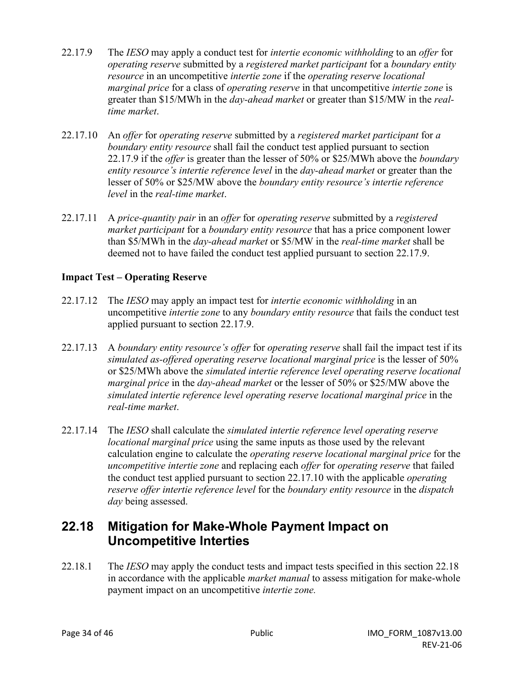- 22.17.9 The *IESO* may apply a conduct test for *intertie economic withholding* to an *offer* for *operating reserve* submitted by a *registered market participant* for a *boundary entity resource* in an uncompetitive *intertie zone* if the *operating reserve locational marginal price* for a class of *operating reserve* in that uncompetitive *intertie zone* is greater than \$15/MWh in the *day-ahead market* or greater than \$15/MW in the *realtime market*.
- 22.17.10 An *offer* for *operating reserve* submitted by a *registered market participant* for *a boundary entity resource* shall fail the conduct test applied pursuant to section 22.17.9 if the *offer* is greater than the lesser of 50% or \$25/MWh above the *boundary entity resource's intertie reference level* in the *day-ahead market* or greater than the lesser of 50% or \$25/MW above the *boundary entity resource's intertie reference level* in the *real-time market*.
- 22.17.11 A *price-quantity pair* in an *offer* for *operating reserve* submitted by a *registered market participant* for a *boundary entity resource* that has a price component lower than \$5/MWh in the *day-ahead market* or \$5/MW in the *real-time market* shall be deemed not to have failed the conduct test applied pursuant to section 22.17.9.

#### **Impact Test – Operating Reserve**

- 22.17.12 The *IESO* may apply an impact test for *intertie economic withholding* in an uncompetitive *intertie zone* to any *boundary entity resource* that fails the conduct test applied pursuant to section 22.17.9.
- 22.17.13 A *boundary entity resource's offer* for *operating reserve* shall fail the impact test if its *simulated as-offered operating reserve locational marginal price* is the lesser of 50% or \$25/MWh above the *simulated intertie reference level operating reserve locational marginal price* in the *day-ahead market* or the lesser of 50% or \$25/MW above the *simulated intertie reference level operating reserve locational marginal price* in the *real-time market*.
- 22.17.14 The *IESO* shall calculate the *simulated intertie reference level operating reserve locational marginal price* using the same inputs as those used by the relevant calculation engine to calculate the *operating reserve locational marginal price* for the *uncompetitive intertie zone* and replacing each *offer* for *operating reserve* that failed the conduct test applied pursuant to section 22.17.10 with the applicable *operating reserve offer intertie reference level* for the *boundary entity resource* in the *dispatch day* being assessed.

### **22.18 Mitigation for Make-Whole Payment Impact on Uncompetitive Interties**

22.18.1 The *IESO* may apply the conduct tests and impact tests specified in this section 22.18 in accordance with the applicable *market manual* to assess mitigation for make-whole payment impact on an uncompetitive *intertie zone.*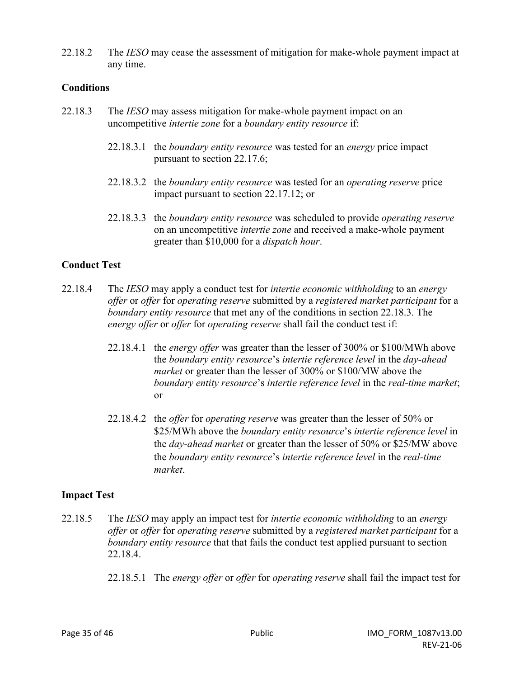22.18.2 The *IESO* may cease the assessment of mitigation for make-whole payment impact at any time.

#### **Conditions**

- 22.18.3 The *IESO* may assess mitigation for make-whole payment impact on an uncompetitive *intertie zone* for a *boundary entity resource* if:
	- 22.18.3.1 the *boundary entity resource* was tested for an *energy* price impact pursuant to section 22.17.6;
	- 22.18.3.2 the *boundary entity resource* was tested for an *operating reserve* price impact pursuant to section 22.17.12; or
	- 22.18.3.3 the *boundary entity resource* was scheduled to provide *operating reserve* on an uncompetitive *intertie zone* and received a make-whole payment greater than \$10,000 for a *dispatch hour*.

#### **Conduct Test**

- 22.18.4 The *IESO* may apply a conduct test for *intertie economic withholding* to an *energy offer* or *offer* for *operating reserve* submitted by a *registered market participant* for a *boundary entity resource* that met any of the conditions in section 22.18.3. The *energy offer* or *offer* for *operating reserve* shall fail the conduct test if:
	- 22.18.4.1 the *energy offer* was greater than the lesser of 300% or \$100/MWh above the *boundary entity resource*'s *intertie reference level* in the *day-ahead market* or greater than the lesser of 300% or \$100/MW above the *boundary entity resource*'s *intertie reference level* in the *real-time market*; or
	- 22.18.4.2 the *offer* for *operating reserve* was greater than the lesser of 50% or \$25/MWh above the *boundary entity resource*'s *intertie reference level* in the *day-ahead market* or greater than the lesser of 50% or \$25/MW above the *boundary entity resource*'s *intertie reference level* in the *real-time market*.

#### **Impact Test**

- 22.18.5 The *IESO* may apply an impact test for *intertie economic withholding* to an *energy offer* or *offer* for *operating reserve* submitted by a *registered market participant* for a *boundary entity resource* that that fails the conduct test applied pursuant to section 22.18.4.
	- 22.18.5.1 The *energy offer* or *offer* for *operating reserve* shall fail the impact test for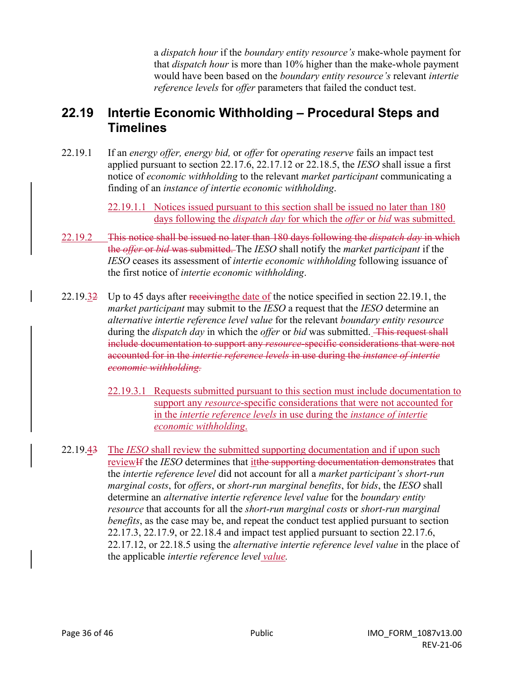a *dispatch hour* if the *boundary entity resource's* make-whole payment for that *dispatch hour* is more than 10% higher than the make-whole payment would have been based on the *boundary entity resource's* relevant *intertie reference levels* for *offer* parameters that failed the conduct test.

### **22.19 Intertie Economic Withholding – Procedural Steps and Timelines**

22.19.1 If an *energy offer, energy bid,* or *offer* for *operating reserve* fails an impact test applied pursuant to section 22.17.6, 22.17.12 or 22.18.5, the *IESO* shall issue a first notice of *economic withholding* to the relevant *market participant* communicating a finding of an *instance of intertie economic withholding*.

> 22.19.1.1 Notices issued pursuant to this section shall be issued no later than 180 days following the *dispatch day* for which the *offer* or *bid* was submitted.

- 22.19.2 This notice shall be issued no later than 180 days following the *dispatch day* in which the *offer* or *bid* was submitted. The *IESO* shall notify the *market participant* if the *IESO* ceases its assessment of *intertie economic withholding* following issuance of the first notice of *intertie economic withholding*.
- 22.19.32 Up to 45 days after receiving the date of the notice specified in section 22.19.1, the *market participant* may submit to the *IESO* a request that the *IESO* determine an *alternative intertie reference level value* for the relevant *boundary entity resource*  during the *dispatch day* in which the *offer* or *bid* was submitted. This request shall include documentation to support any *resource*-specific considerations that were not accounted for in the *intertie reference levels* in use during the *instance of intertie economic withholding.* 
	- 22.19.3.1 Requests submitted pursuant to this section must include documentation to support any *resource*-specific considerations that were not accounted for in the *intertie reference levels* in use during the *instance of intertie economic withholding*.
- 22.19.43 The *IESO* shall review the submitted supporting documentation and if upon such reviewIf the *IESO* determines that itthe supporting documentation demonstrates that the *intertie reference level* did not account for all a *market participant's short-run marginal costs*, for *offers*, or *short-run marginal benefits*, for *bids*, the *IESO* shall determine an *alternative intertie reference level value* for the *boundary entity resource* that accounts for all the *short-run marginal costs* or *short-run marginal benefits*, as the case may be, and repeat the conduct test applied pursuant to section 22.17.3, 22.17.9, or 22.18.4 and impact test applied pursuant to section 22.17.6, 22.17.12, or 22.18.5 using the *alternative intertie reference level value* in the place of the applicable *intertie reference level value.*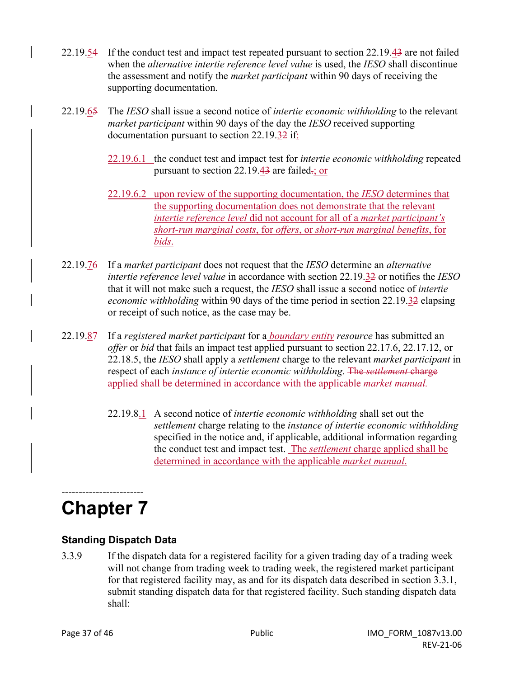- 22.19.54 If the conduct test and impact test repeated pursuant to section 22.19.43 are not failed when the *alternative intertie reference level value* is used, the *IESO* shall discontinue the assessment and notify the *market participant* within 90 days of receiving the supporting documentation.
- 22.19.65 The *IESO* shall issue a second notice of *intertie economic withholding* to the relevant *market participant* within 90 days of the day the *IESO* received supporting documentation pursuant to section 22.19.32 if:
	- 22.19.6.1 the conduct test and impact test for *intertie economic withholding* repeated pursuant to section  $22.19.43$  are failed.; or
	- 22.19.6.2 upon review of the supporting documentation, the *IESO* determines that the supporting documentation does not demonstrate that the relevant *intertie reference level* did not account for all of a *market participant's short-run marginal costs*, for *offers*, or *short-run marginal benefits*, for *bids*.
- 22.19.76 If a *market participant* does not request that the *IESO* determine an *alternative intertie reference level value* in accordance with section 22.19.32 or notifies the *IESO*  that it will not make such a request, the *IESO* shall issue a second notice of *intertie economic withholding* within 90 days of the time period in section 22.19.32 elapsing or receipt of such notice, as the case may be.
- 22.19.87 If a *registered market participant* for a *boundary entity resource* has submitted an *offer* or *bid* that fails an impact test applied pursuant to section 22.17.6, 22.17.12, or 22.18.5, the *IESO* shall apply a *settlement* charge to the relevant *market participant* in respect of each *instance of intertie economic withholding*. The *settlement* charge applied shall be determined in accordance with the applicable *market manual.*
	- 22.19.8.1 A second notice of *intertie economic withholding* shall set out the *settlement* charge relating to the *instance of intertie economic withholding* specified in the notice and, if applicable, additional information regarding the conduct test and impact test. The *settlement* charge applied shall be determined in accordance with the applicable *market manual*.

### ------------------------ **Chapter 7**

### **Standing Dispatch Data**

3.3.9 If the dispatch data for a registered facility for a given trading day of a trading week will not change from trading week to trading week, the registered market participant for that registered facility may, as and for its dispatch data described in section 3.3.1, submit standing dispatch data for that registered facility. Such standing dispatch data shall: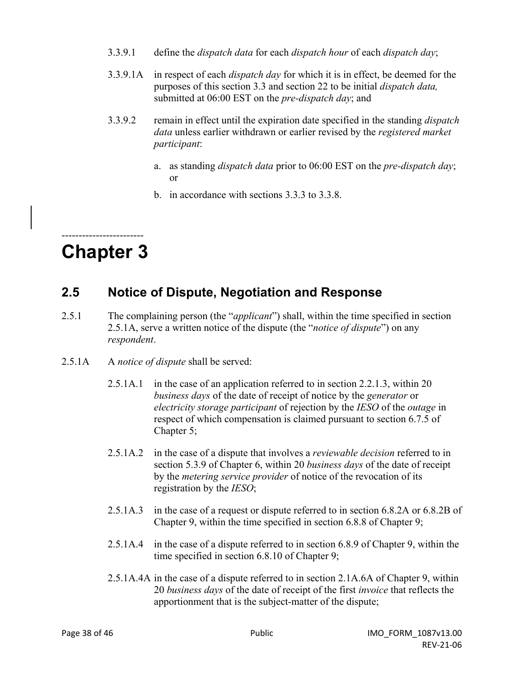- 3.3.9.1 define the *dispatch data* for each *dispatch hour* of each *dispatch day*;
- 3.3.9.1A in respect of each *dispatch day* for which it is in effect, be deemed for the purposes of this section 3.3 and section 22 to be initial *dispatch data,*  submitted at 06:00 EST on the *pre-dispatch day*; and
- 3.3.9.2 remain in effect until the expiration date specified in the standing *dispatch data* unless earlier withdrawn or earlier revised by the *registered market participant*:
	- a. as standing *dispatch data* prior to 06:00 EST on the *pre-dispatch day*; or
	- b. in accordance with sections 3.3.3 to 3.3.8.

### ------------------------ **Chapter 3**

### **2.5 Notice of Dispute, Negotiation and Response**

- 2.5.1 The complaining person (the "*applicant*") shall, within the time specified in section 2.5.1A, serve a written notice of the dispute (the "*notice of dispute*") on any *respondent*.
- 2.5.1A A *notice of dispute* shall be served:
	- 2.5.1A.1 in the case of an application referred to in section 2.2.1.3, within 20 *business days* of the date of receipt of notice by the *generator* or *electricity storage participant* of rejection by the *IESO* of the *outage* in respect of which compensation is claimed pursuant to section 6.7.5 of Chapter 5;
	- 2.5.1A.2 in the case of a dispute that involves a *reviewable decision* referred to in section 5.3.9 of Chapter 6, within 20 *business days* of the date of receipt by the *metering service provider* of notice of the revocation of its registration by the *IESO*;
	- 2.5.1A.3 in the case of a request or dispute referred to in section 6.8.2A or 6.8.2B of Chapter 9, within the time specified in section 6.8.8 of Chapter 9;
	- 2.5.1A.4 in the case of a dispute referred to in section 6.8.9 of Chapter 9, within the time specified in section 6.8.10 of Chapter 9;
	- 2.5.1A.4A in the case of a dispute referred to in section 2.1A.6A of Chapter 9, within 20 *business days* of the date of receipt of the first *invoice* that reflects the apportionment that is the subject-matter of the dispute;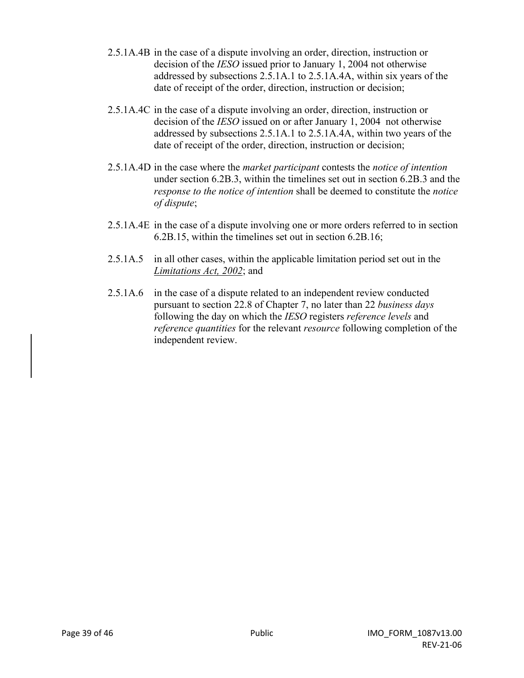- 2.5.1A.4B in the case of a dispute involving an order, direction, instruction or decision of the *IESO* issued prior to January 1, 2004 not otherwise addressed by subsections 2.5.1A.1 to 2.5.1A.4A, within six years of the date of receipt of the order, direction, instruction or decision;
- 2.5.1A.4C in the case of a dispute involving an order, direction, instruction or decision of the *IESO* issued on or after January 1, 2004 not otherwise addressed by subsections 2.5.1A.1 to 2.5.1A.4A, within two years of the date of receipt of the order, direction, instruction or decision;
- 2.5.1A.4D in the case where the *market participant* contests the *notice of intention*  under section 6.2B.3, within the timelines set out in section 6.2B.3 and the *response to the notice of intention* shall be deemed to constitute the *notice of dispute*;
- 2.5.1A.4E in the case of a dispute involving one or more orders referred to in section 6.2B.15, within the timelines set out in section 6.2B.16;
- 2.5.1A.5 in all other cases, within the applicable limitation period set out in the *Limitations Act, 2002*; and
- 2.5.1A.6 in the case of a dispute related to an independent review conducted pursuant to section 22.8 of Chapter 7, no later than 22 *business days* following the day on which the *IESO* registers *reference levels* and *reference quantities* for the relevant *resource* following completion of the independent review.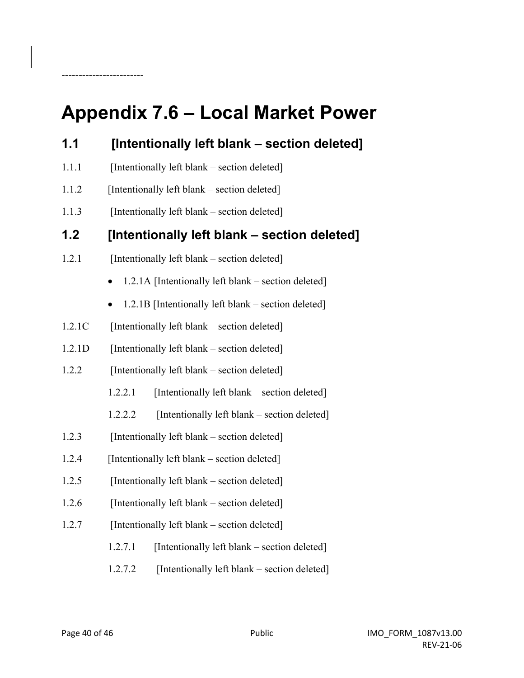# **Appendix 7.6 – Local Market Power**

------------------------

| 1.1    | [Intentionally left blank - section deleted]                     |  |  |
|--------|------------------------------------------------------------------|--|--|
| 1.1.1  | [Intentionally left blank – section deleted]                     |  |  |
| 1.1.2  | [Intentionally left blank – section deleted]                     |  |  |
| 1.1.3  | [Intentionally left blank – section deleted]                     |  |  |
| 1.2    | [Intentionally left blank – section deleted]                     |  |  |
| 1.2.1  | [Intentionally left blank – section deleted]                     |  |  |
|        | 1.2.1A [Intentionally left blank – section deleted]<br>$\bullet$ |  |  |
|        | 1.2.1B [Intentionally left blank – section deleted]<br>$\bullet$ |  |  |
| 1.2.1C | [Intentionally left blank – section deleted]                     |  |  |
| 1.2.1D | [Intentionally left blank – section deleted]                     |  |  |
| 1.2.2  | [Intentionally left blank – section deleted]                     |  |  |
|        | [Intentionally left blank – section deleted]<br>1.2.2.1          |  |  |
|        | [Intentionally left blank – section deleted]<br>1.2.2.2          |  |  |
| 1.2.3  | [Intentionally left blank – section deleted]                     |  |  |
| 1.2.4  | [Intentionally left blank – section deleted]                     |  |  |
| 1.2.5  | [Intentionally left blank – section deleted]                     |  |  |
| 1.2.6  | [Intentionally left blank – section deleted]                     |  |  |
| 1.2.7  | [Intentionally left blank – section deleted]                     |  |  |
|        | [Intentionally left blank – section deleted]<br>1.2.7.1          |  |  |
|        | [Intentionally left blank – section deleted]<br>1.2.7.2          |  |  |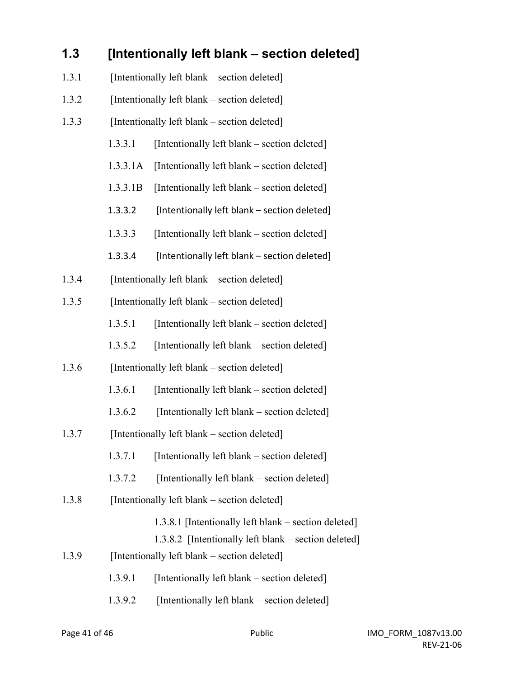## **1.3 [Intentionally left blank – section deleted]** 1.3.1 [Intentionally left blank – section deleted]

- 1.3.2 [Intentionally left blank section deleted]
- 1.3.3 [Intentionally left blank section deleted]
	- 1.3.3.1 [Intentionally left blank section deleted]
	- 1.3.3.1A [Intentionally left blank section deleted]
	- 1.3.3.1B [Intentionally left blank section deleted]
	- 1.3.3.2 [Intentionally left blank section deleted]
	- 1.3.3.3 [Intentionally left blank section deleted]
	- 1.3.3.4 [Intentionally left blank section deleted]
- 1.3.4 [Intentionally left blank section deleted]
- 1.3.5 [Intentionally left blank section deleted]
	- 1.3.5.1 [Intentionally left blank section deleted]
	- 1.3.5.2 [Intentionally left blank section deleted]
- 1.3.6 [Intentionally left blank section deleted]
	- 1.3.6.1 [Intentionally left blank section deleted]
	- 1.3.6.2 [Intentionally left blank section deleted]
- 1.3.7 [Intentionally left blank section deleted]
	- 1.3.7.1 [Intentionally left blank section deleted]
	- 1.3.7.2 [Intentionally left blank section deleted]
- 1.3.8 [Intentionally left blank section deleted]
	- 1.3.8.1 [Intentionally left blank section deleted]
	- 1.3.8.2 [Intentionally left blank section deleted]
- 1.3.9 [Intentionally left blank section deleted]
	- 1.3.9.1 [Intentionally left blank section deleted]
	- 1.3.9.2 [Intentionally left blank section deleted]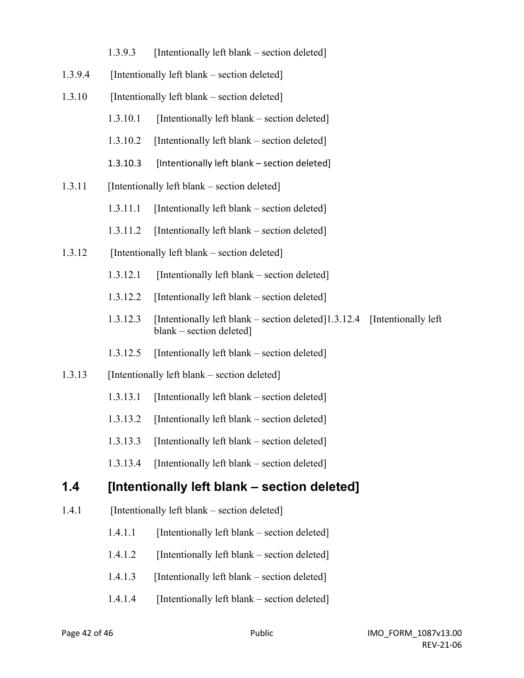- 1.3.9.3 [Intentionally left blank section deleted]
- 1.3.9.4 [Intentionally left blank section deleted]
- 1.3.10 [Intentionally left blank section deleted]
	- 1.3.10.1 [Intentionally left blank section deleted]
	- 1.3.10.2 [Intentionally left blank section deleted]
	- 1.3.10.3 [Intentionally left blank section deleted]
- 1.3.11 [Intentionally left blank section deleted]
	- 1.3.11.1 [Intentionally left blank section deleted]
	- 1.3.11.2 [Intentionally left blank section deleted]
- 1.3.12 [Intentionally left blank section deleted]
	- 1.3.12.1 [Intentionally left blank section deleted]
	- 1.3.12.2 [Intentionally left blank section deleted]
	- 1.3.12.3 [Intentionally left blank section deleted]1.3.12.4 [Intentionally left blank – section deleted]
	- 1.3.12.5 [Intentionally left blank section deleted]
- 1.3.13 [Intentionally left blank section deleted]
	- 1.3.13.1 [Intentionally left blank section deleted]
	- 1.3.13.2 [Intentionally left blank section deleted]
	- 1.3.13.3 [Intentionally left blank section deleted]
	- 1.3.13.4 [Intentionally left blank section deleted]

### **1.4 [Intentionally left blank – section deleted]**

- 1.4.1 [Intentionally left blank section deleted]
	- 1.4.1.1 [Intentionally left blank section deleted]
	- 1.4.1.2 [Intentionally left blank section deleted]
	- 1.4.1.3 [Intentionally left blank section deleted]
	- 1.4.1.4 [Intentionally left blank section deleted]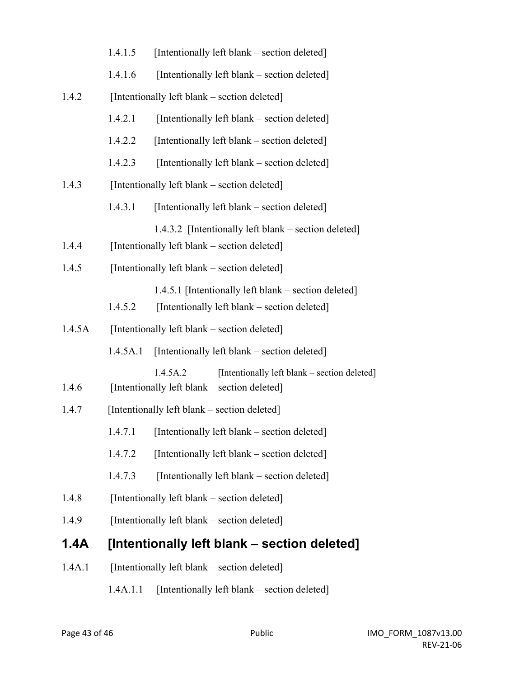|        | 1.4.1.5                                      | [Intentionally left blank – section deleted]                                                             |
|--------|----------------------------------------------|----------------------------------------------------------------------------------------------------------|
|        | 1.4.1.6                                      | [Intentionally left blank – section deleted]                                                             |
| 1.4.2  |                                              | [Intentionally left blank – section deleted]                                                             |
|        | 1.4.2.1                                      | [Intentionally left blank – section deleted]                                                             |
|        | 1.4.2.2                                      | [Intentionally left blank – section deleted]                                                             |
|        | 1.4.2.3                                      | [Intentionally left blank – section deleted]                                                             |
| 1.4.3  |                                              | [Intentionally left blank – section deleted]                                                             |
|        | 1.4.3.1                                      | [Intentionally left blank – section deleted]                                                             |
| 1.4.4  |                                              | 1.4.3.2 [Intentionally left blank – section deleted]<br>[Intentionally left blank – section deleted]     |
| 1.4.5  | [Intentionally left blank – section deleted] |                                                                                                          |
|        | 1.4.5.2                                      | 1.4.5.1 [Intentionally left blank - section deleted]<br>[Intentionally left blank – section deleted]     |
| 1.4.5A | [Intentionally left blank – section deleted] |                                                                                                          |
|        | 1.4.5A.1                                     | [Intentionally left blank – section deleted]                                                             |
| 1.4.6  |                                              | 1.4.5A.2<br>[Intentionally left blank – section deleted]<br>[Intentionally left blank – section deleted] |
| 1.4.7  | [Intentionally left blank – section deleted] |                                                                                                          |
|        | 1.4.7.1                                      | [Intentionally left blank – section deleted]                                                             |
|        | 1.4.7.2                                      | [Intentionally left blank – section deleted]                                                             |
|        | 1.4.7.3                                      | [Intentionally left blank – section deleted]                                                             |
| 1.4.8  |                                              | [Intentionally left blank – section deleted]                                                             |
| 1.4.9  | [Intentionally left blank – section deleted] |                                                                                                          |
| 1.4A   | [Intentionally left blank – section deleted] |                                                                                                          |
| 1.4A.1 |                                              | [Intentionally left blank – section deleted]                                                             |

1.4A.1.1 [Intentionally left blank – section deleted]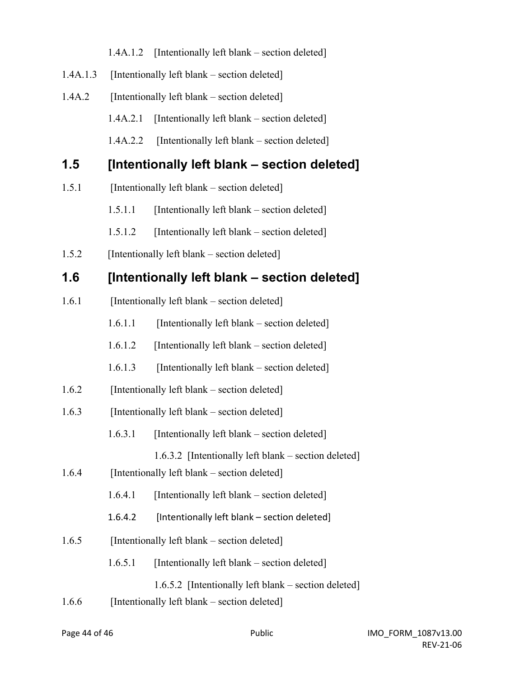| 1.4A.1.2 [Intentionally left blank – section deleted] |  |
|-------------------------------------------------------|--|
|                                                       |  |

- 1.4A.1.3 [Intentionally left blank section deleted]
- 1.4A.2 [Intentionally left blank section deleted]

1.4A.2.1 [Intentionally left blank – section deleted]

1.4A.2.2 [Intentionally left blank – section deleted]

### **1.5 [Intentionally left blank – section deleted]**

- 1.5.1 [Intentionally left blank section deleted]
	- 1.5.1.1 [Intentionally left blank section deleted]
	- 1.5.1.2 [Intentionally left blank section deleted]
- 1.5.2 [Intentionally left blank section deleted]

### **1.6 [Intentionally left blank – section deleted]**

- 1.6.1 [Intentionally left blank section deleted]
	- 1.6.1.1 [Intentionally left blank section deleted]
	- 1.6.1.2 [Intentionally left blank section deleted]
	- 1.6.1.3 [Intentionally left blank section deleted]
- 1.6.2 [Intentionally left blank section deleted]
- 1.6.3 [Intentionally left blank section deleted]
	- 1.6.3.1 [Intentionally left blank section deleted]
		- 1.6.3.2 [Intentionally left blank section deleted]
- 1.6.4 [Intentionally left blank section deleted]
	- $1.6.4.1$  [Intentionally left blank section deleted]
	- 1.6.4.2 [Intentionally left blank section deleted]
- 1.6.5 [Intentionally left blank section deleted]
	- 1.6.5.1 [Intentionally left blank section deleted]
		- 1.6.5.2 [Intentionally left blank section deleted]
- 1.6.6 [Intentionally left blank section deleted]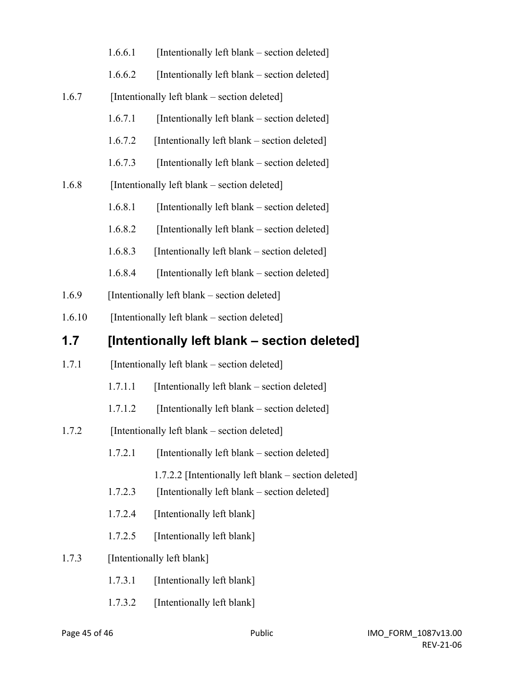|        | 1.6.6.1                                      | [Intentionally left blank – section deleted]                                                         |  |
|--------|----------------------------------------------|------------------------------------------------------------------------------------------------------|--|
|        | 1.6.6.2                                      | [Intentionally left blank - section deleted]                                                         |  |
| 1.6.7  |                                              | [Intentionally left blank – section deleted]                                                         |  |
|        | 1.6.7.1                                      | [Intentionally left blank – section deleted]                                                         |  |
|        | 1.6.7.2                                      | [Intentionally left blank – section deleted]                                                         |  |
|        | 1.6.7.3                                      | [Intentionally left blank – section deleted]                                                         |  |
| 1.6.8  | [Intentionally left blank – section deleted] |                                                                                                      |  |
|        | 1.6.8.1                                      | [Intentionally left blank – section deleted]                                                         |  |
|        | 1.6.8.2                                      | [Intentionally left blank – section deleted]                                                         |  |
|        | 1.6.8.3                                      | [Intentionally left blank – section deleted]                                                         |  |
|        | 1.6.8.4                                      | [Intentionally left blank – section deleted]                                                         |  |
| 1.6.9  |                                              | [Intentionally left blank – section deleted]                                                         |  |
| 1.6.10 |                                              | [Intentionally left blank – section deleted]                                                         |  |
| 1.7    |                                              | [Intentionally left blank - section deleted]                                                         |  |
| 1.7.1  |                                              | [Intentionally left blank – section deleted]                                                         |  |
|        | 1.7.1.1                                      | [Intentionally left blank – section deleted]                                                         |  |
|        | 1.7.1.2                                      | [Intentionally left blank – section deleted]                                                         |  |
| 1.7.2  |                                              | [Intentionally left blank – section deleted]                                                         |  |
|        | 1.7.2.1                                      | [Intentionally left blank – section deleted]                                                         |  |
|        | 1.7.2.3                                      | 1.7.2.2 [Intentionally left blank – section deleted]<br>[Intentionally left blank – section deleted] |  |
|        | 1.7.2.4                                      | [Intentionally left blank]                                                                           |  |
|        | 1.7.2.5                                      | [Intentionally left blank]                                                                           |  |
| 1.7.3  |                                              | [Intentionally left blank]                                                                           |  |
|        | 1.7.3.1                                      | [Intentionally left blank]                                                                           |  |
|        | 1.7.3.2                                      | [Intentionally left blank]                                                                           |  |
|        |                                              |                                                                                                      |  |